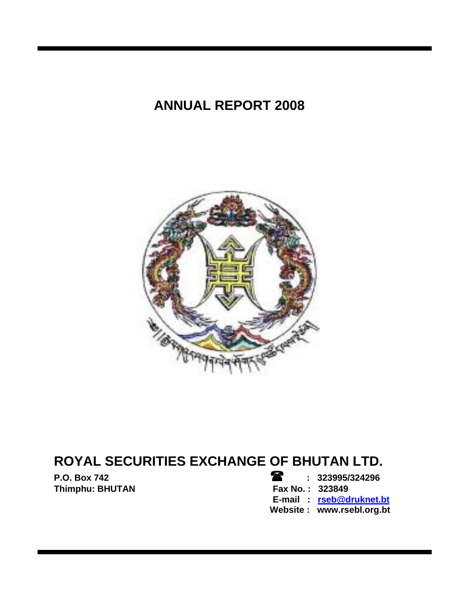# **ANNUAL REPORT 2008**



# **ROYAL SECURITIES EXCHANGE OF BHUTAN LTD.**

**P.O. Box 742 : 323995/324296**  Thimphu: BHUTAN **Fax No. : 323849 E-mail : rseb@druknet.bt Website : www.rsebl.org.bt**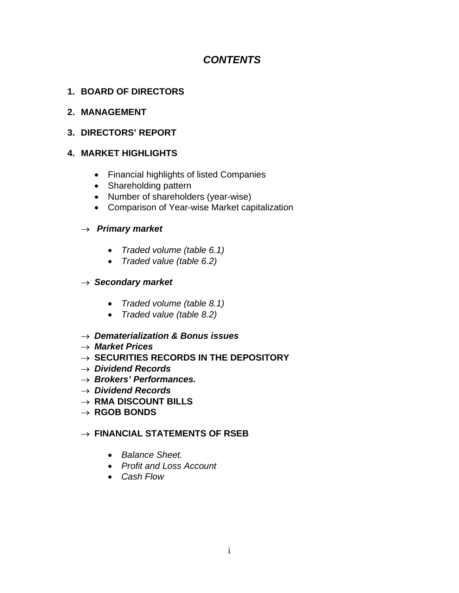# *CONTENTS*

# **1. BOARD OF DIRECTORS**

#### **2. MANAGEMENT**

# **3. DIRECTORS' REPORT**

# **4. MARKET HIGHLIGHTS**

- Financial highlights of listed Companies
- Shareholding pattern
- Number of shareholders (year-wise)
- Comparison of Year-wise Market capitalization

# → *Primary market*

- *Traded volume (table 6.1)*
- *Traded value (table 6.2)*

# → *Secondary market*

- *Traded volume (table 8.1)*
- *Traded value (table 8.2)*
- → *Dematerialization & Bonus issues*
- → *Market Prices*
- → **SECURITIES RECORDS IN THE DEPOSITORY**
- → *Dividend Records*
- → *Brokers' Performances.*
- → *Dividend Records*
- → **RMA DISCOUNT BILLS**
- → **RGOB BONDS**

# → **FINANCIAL STATEMENTS OF RSEB**

- *Balance Sheet.*
- *Profit and Loss Account*
- *Cash Flow*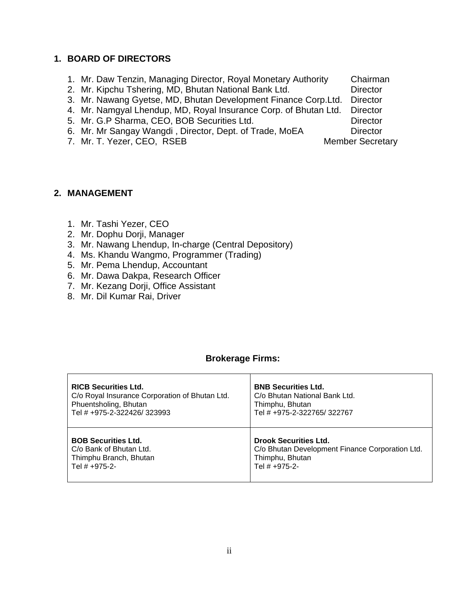#### **1. BOARD OF DIRECTORS**

- 1. Mr. Daw Tenzin, Managing Director, Royal Monetary Authority Chairman
- 2. Mr. Kipchu Tshering, MD, Bhutan National Bank Ltd. Director

3. Mr. Nawang Gyetse, MD, Bhutan Development Finance Corp.Ltd. Director

- 4. Mr. Namgyal Lhendup, MD, Royal Insurance Corp. of Bhutan Ltd. Director
- 5. Mr. G.P Sharma, CEO, BOB Securities Ltd. Director
- 6. Mr. Mr Sangay Wangdi, Director, Dept. of Trade, MoEA Director
- 7. Mr. T. Yezer, CEO, RSEB Member Secretary

#### **2. MANAGEMENT**

- 1. Mr. Tashi Yezer, CEO
- 2. Mr. Dophu Dorji, Manager
- 3. Mr. Nawang Lhendup, In-charge (Central Depository)
- 4. Ms. Khandu Wangmo, Programmer (Trading)
- 5. Mr. Pema Lhendup, Accountant
- 6. Mr. Dawa Dakpa, Research Officer
- 7. Mr. Kezang Dorji, Office Assistant
- 8. Mr. Dil Kumar Rai, Driver

# **Brokerage Firms:**

| <b>RICB Securities Ltd.</b>                    | <b>BNB Securities Ltd.</b>                      |
|------------------------------------------------|-------------------------------------------------|
| C/o Royal Insurance Corporation of Bhutan Ltd. | C/o Bhutan National Bank Ltd.                   |
| Phuentsholing, Bhutan                          | Thimphu, Bhutan                                 |
| Tel # +975-2-322426/323993                     | Tel # +975-2-322765/322767                      |
| <b>BOB Securities Ltd.</b>                     | <b>Drook Securities Ltd.</b>                    |
| C/o Bank of Bhutan Ltd.                        | C/o Bhutan Development Finance Corporation Ltd. |
| Thimphu Branch, Bhutan                         | Thimphu, Bhutan                                 |
| Tel # +975-2-                                  | Tel # +975-2-                                   |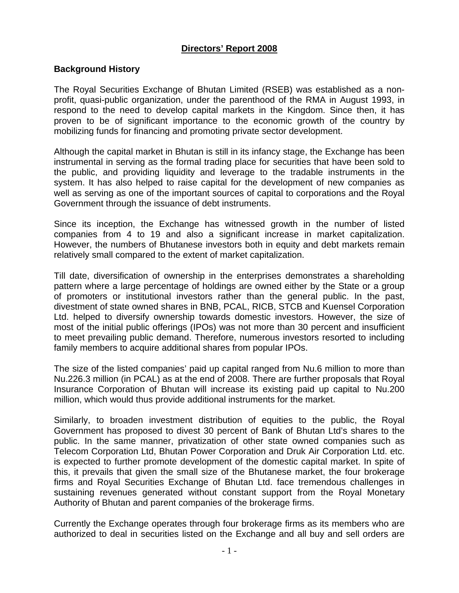# **Directors' Report 2008**

#### **Background History**

The Royal Securities Exchange of Bhutan Limited (RSEB) was established as a nonprofit, quasi-public organization, under the parenthood of the RMA in August 1993, in respond to the need to develop capital markets in the Kingdom. Since then, it has proven to be of significant importance to the economic growth of the country by mobilizing funds for financing and promoting private sector development.

Although the capital market in Bhutan is still in its infancy stage, the Exchange has been instrumental in serving as the formal trading place for securities that have been sold to the public, and providing liquidity and leverage to the tradable instruments in the system. It has also helped to raise capital for the development of new companies as well as serving as one of the important sources of capital to corporations and the Royal Government through the issuance of debt instruments.

Since its inception, the Exchange has witnessed growth in the number of listed companies from 4 to 19 and also a significant increase in market capitalization. However, the numbers of Bhutanese investors both in equity and debt markets remain relatively small compared to the extent of market capitalization.

Till date, diversification of ownership in the enterprises demonstrates a shareholding pattern where a large percentage of holdings are owned either by the State or a group of promoters or institutional investors rather than the general public. In the past, divestment of state owned shares in BNB, PCAL, RICB, STCB and Kuensel Corporation Ltd. helped to diversify ownership towards domestic investors. However, the size of most of the initial public offerings (IPOs) was not more than 30 percent and insufficient to meet prevailing public demand. Therefore, numerous investors resorted to including family members to acquire additional shares from popular IPOs.

The size of the listed companies' paid up capital ranged from Nu.6 million to more than Nu.226.3 million (in PCAL) as at the end of 2008. There are further proposals that Royal Insurance Corporation of Bhutan will increase its existing paid up capital to Nu.200 million, which would thus provide additional instruments for the market.

Similarly, to broaden investment distribution of equities to the public, the Royal Government has proposed to divest 30 percent of Bank of Bhutan Ltd's shares to the public. In the same manner, privatization of other state owned companies such as Telecom Corporation Ltd, Bhutan Power Corporation and Druk Air Corporation Ltd. etc. is expected to further promote development of the domestic capital market. In spite of this, it prevails that given the small size of the Bhutanese market, the four brokerage firms and Royal Securities Exchange of Bhutan Ltd. face tremendous challenges in sustaining revenues generated without constant support from the Royal Monetary Authority of Bhutan and parent companies of the brokerage firms.

Currently the Exchange operates through four brokerage firms as its members who are authorized to deal in securities listed on the Exchange and all buy and sell orders are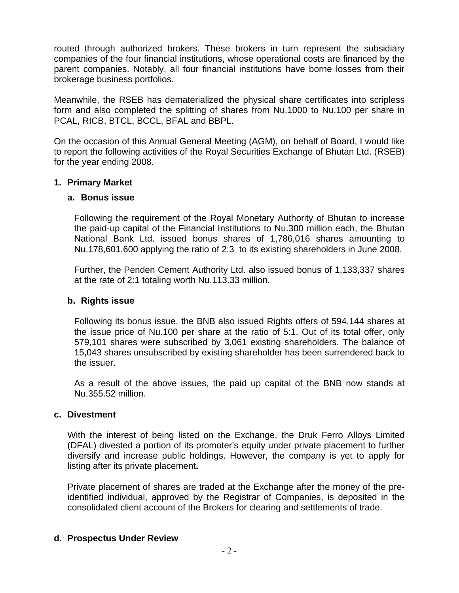routed through authorized brokers. These brokers in turn represent the subsidiary companies of the four financial institutions, whose operational costs are financed by the parent companies. Notably, all four financial institutions have borne losses from their brokerage business portfolios.

Meanwhile, the RSEB has dematerialized the physical share certificates into scripless form and also completed the splitting of shares from Nu.1000 to Nu.100 per share in PCAL, RICB, BTCL, BCCL, BFAL and BBPL.

On the occasion of this Annual General Meeting (AGM), on behalf of Board, I would like to report the following activities of the Royal Securities Exchange of Bhutan Ltd. (RSEB) for the year ending 2008.

#### **1. Primary Market**

#### **a. Bonus issue**

Following the requirement of the Royal Monetary Authority of Bhutan to increase the paid-up capital of the Financial Institutions to Nu.300 million each, the Bhutan National Bank Ltd. issued bonus shares of 1,786,016 shares amounting to Nu.178,601,600 applying the ratio of 2:3 to its existing shareholders in June 2008.

Further, the Penden Cement Authority Ltd. also issued bonus of 1,133,337 shares at the rate of 2:1 totaling worth Nu.113.33 million.

#### **b. Rights issue**

Following its bonus issue, the BNB also issued Rights offers of 594,144 shares at the issue price of Nu.100 per share at the ratio of 5:1. Out of its total offer, only 579,101 shares were subscribed by 3,061 existing shareholders. The balance of 15,043 shares unsubscribed by existing shareholder has been surrendered back to the issuer.

As a result of the above issues, the paid up capital of the BNB now stands at Nu.355.52 million.

#### **c. Divestment**

With the interest of being listed on the Exchange, the Druk Ferro Alloys Limited (DFAL) divested a portion of its promoter's equity under private placement to further diversify and increase public holdings. However, the company is yet to apply for listing after its private placement**.** 

Private placement of shares are traded at the Exchange after the money of the preidentified individual, approved by the Registrar of Companies, is deposited in the consolidated client account of the Brokers for clearing and settlements of trade.

#### **d. Prospectus Under Review**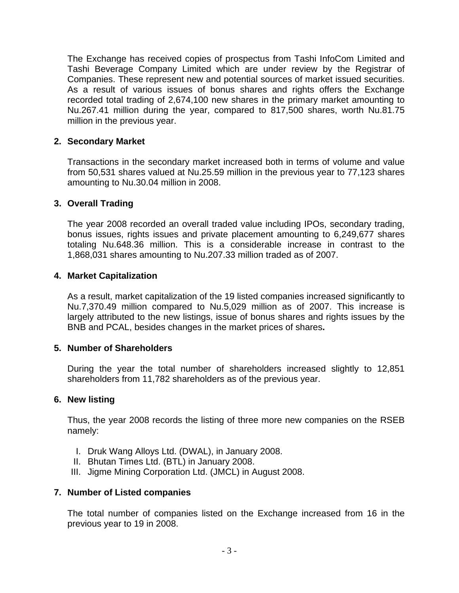The Exchange has received copies of prospectus from Tashi InfoCom Limited and Tashi Beverage Company Limited which are under review by the Registrar of Companies. These represent new and potential sources of market issued securities. As a result of various issues of bonus shares and rights offers the Exchange recorded total trading of 2,674,100 new shares in the primary market amounting to Nu.267.41 million during the year, compared to 817,500 shares, worth Nu.81.75 million in the previous year.

#### **2. Secondary Market**

Transactions in the secondary market increased both in terms of volume and value from 50,531 shares valued at Nu.25.59 million in the previous year to 77,123 shares amounting to Nu.30.04 million in 2008.

#### **3. Overall Trading**

The year 2008 recorded an overall traded value including IPOs, secondary trading, bonus issues, rights issues and private placement amounting to 6,249,677 shares totaling Nu.648.36 million. This is a considerable increase in contrast to the 1,868,031 shares amounting to Nu.207.33 million traded as of 2007.

#### **4. Market Capitalization**

As a result, market capitalization of the 19 listed companies increased significantly to Nu.7,370.49 million compared to Nu.5,029 million as of 2007. This increase is largely attributed to the new listings, issue of bonus shares and rights issues by the BNB and PCAL, besides changes in the market prices of shares**.** 

#### **5. Number of Shareholders**

During the year the total number of shareholders increased slightly to 12,851 shareholders from 11,782 shareholders as of the previous year.

#### **6. New listing**

Thus, the year 2008 records the listing of three more new companies on the RSEB namely:

- I. Druk Wang Alloys Ltd. (DWAL), in January 2008.
- II. Bhutan Times Ltd. (BTL) in January 2008.
- III. Jigme Mining Corporation Ltd. (JMCL) in August 2008.

#### **7. Number of Listed companies**

The total number of companies listed on the Exchange increased from 16 in the previous year to 19 in 2008.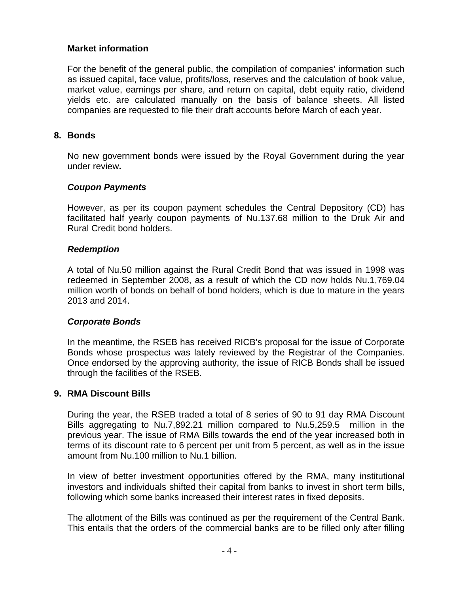#### **Market information**

For the benefit of the general public, the compilation of companies' information such as issued capital, face value, profits/loss, reserves and the calculation of book value, market value, earnings per share, and return on capital, debt equity ratio, dividend yields etc. are calculated manually on the basis of balance sheets. All listed companies are requested to file their draft accounts before March of each year.

#### **8. Bonds**

No new government bonds were issued by the Royal Government during the year under review**.** 

#### *Coupon Payments*

However, as per its coupon payment schedules the Central Depository (CD) has facilitated half yearly coupon payments of Nu.137.68 million to the Druk Air and Rural Credit bond holders.

#### *Redemption*

A total of Nu.50 million against the Rural Credit Bond that was issued in 1998 was redeemed in September 2008, as a result of which the CD now holds Nu.1,769.04 million worth of bonds on behalf of bond holders, which is due to mature in the years 2013 and 2014.

#### *Corporate Bonds*

In the meantime, the RSEB has received RICB's proposal for the issue of Corporate Bonds whose prospectus was lately reviewed by the Registrar of the Companies. Once endorsed by the approving authority, the issue of RICB Bonds shall be issued through the facilities of the RSEB.

#### **9. RMA Discount Bills**

During the year, the RSEB traded a total of 8 series of 90 to 91 day RMA Discount Bills aggregating to Nu.7,892.21 million compared to Nu.5,259.5 million in the previous year. The issue of RMA Bills towards the end of the year increased both in terms of its discount rate to 6 percent per unit from 5 percent, as well as in the issue amount from Nu.100 million to Nu.1 billion.

In view of better investment opportunities offered by the RMA, many institutional investors and individuals shifted their capital from banks to invest in short term bills, following which some banks increased their interest rates in fixed deposits.

The allotment of the Bills was continued as per the requirement of the Central Bank. This entails that the orders of the commercial banks are to be filled only after filling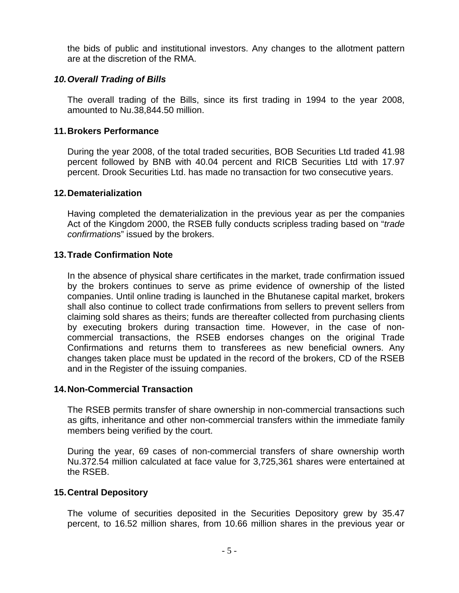the bids of public and institutional investors. Any changes to the allotment pattern are at the discretion of the RMA.

#### *10. Overall Trading of Bills*

The overall trading of the Bills, since its first trading in 1994 to the year 2008, amounted to Nu.38,844.50 million.

#### **11. Brokers Performance**

During the year 2008, of the total traded securities, BOB Securities Ltd traded 41.98 percent followed by BNB with 40.04 percent and RICB Securities Ltd with 17.97 percent. Drook Securities Ltd. has made no transaction for two consecutive years.

#### **12. Dematerialization**

Having completed the dematerialization in the previous year as per the companies Act of the Kingdom 2000, the RSEB fully conducts scripless trading based on "*trade confirmation*s" issued by the brokers.

#### **13. Trade Confirmation Note**

In the absence of physical share certificates in the market, trade confirmation issued by the brokers continues to serve as prime evidence of ownership of the listed companies. Until online trading is launched in the Bhutanese capital market, brokers shall also continue to collect trade confirmations from sellers to prevent sellers from claiming sold shares as theirs; funds are thereafter collected from purchasing clients by executing brokers during transaction time. However, in the case of noncommercial transactions, the RSEB endorses changes on the original Trade Confirmations and returns them to transferees as new beneficial owners. Any changes taken place must be updated in the record of the brokers, CD of the RSEB and in the Register of the issuing companies.

#### **14. Non-Commercial Transaction**

The RSEB permits transfer of share ownership in non-commercial transactions such as gifts, inheritance and other non-commercial transfers within the immediate family members being verified by the court.

During the year, 69 cases of non-commercial transfers of share ownership worth Nu.372.54 million calculated at face value for 3,725,361 shares were entertained at the RSEB.

#### **15. Central Depository**

The volume of securities deposited in the Securities Depository grew by 35.47 percent, to 16.52 million shares, from 10.66 million shares in the previous year or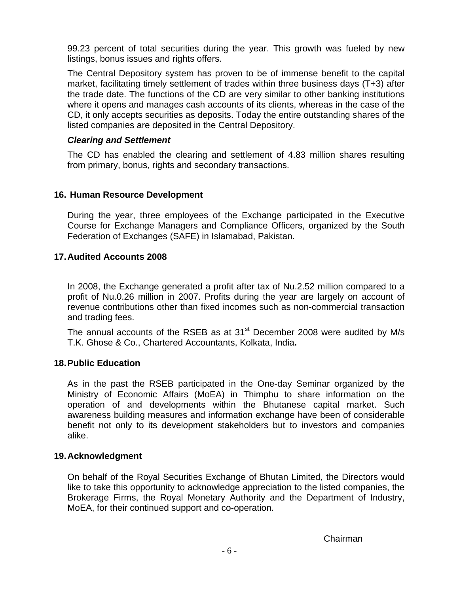99.23 percent of total securities during the year. This growth was fueled by new listings, bonus issues and rights offers.

The Central Depository system has proven to be of immense benefit to the capital market, facilitating timely settlement of trades within three business days (T+3) after the trade date. The functions of the CD are very similar to other banking institutions where it opens and manages cash accounts of its clients, whereas in the case of the CD, it only accepts securities as deposits. Today the entire outstanding shares of the listed companies are deposited in the Central Depository.

#### *Clearing and Settlement*

The CD has enabled the clearing and settlement of 4.83 million shares resulting from primary, bonus, rights and secondary transactions.

# **16. Human Resource Development**

During the year, three employees of the Exchange participated in the Executive Course for Exchange Managers and Compliance Officers, organized by the South Federation of Exchanges (SAFE) in Islamabad, Pakistan.

#### **17. Audited Accounts 2008**

In 2008, the Exchange generated a profit after tax of Nu.2.52 million compared to a profit of Nu.0.26 million in 2007. Profits during the year are largely on account of revenue contributions other than fixed incomes such as non-commercial transaction and trading fees.

The annual accounts of the RSEB as at 31<sup>st</sup> December 2008 were audited by M/s T.K. Ghose & Co., Chartered Accountants, Kolkata, India**.** 

#### **18. Public Education**

As in the past the RSEB participated in the One-day Seminar organized by the Ministry of Economic Affairs (MoEA) in Thimphu to share information on the operation of and developments within the Bhutanese capital market. Such awareness building measures and information exchange have been of considerable benefit not only to its development stakeholders but to investors and companies alike.

#### **19. Acknowledgment**

On behalf of the Royal Securities Exchange of Bhutan Limited, the Directors would like to take this opportunity to acknowledge appreciation to the listed companies, the Brokerage Firms, the Royal Monetary Authority and the Department of Industry, MoEA, for their continued support and co-operation.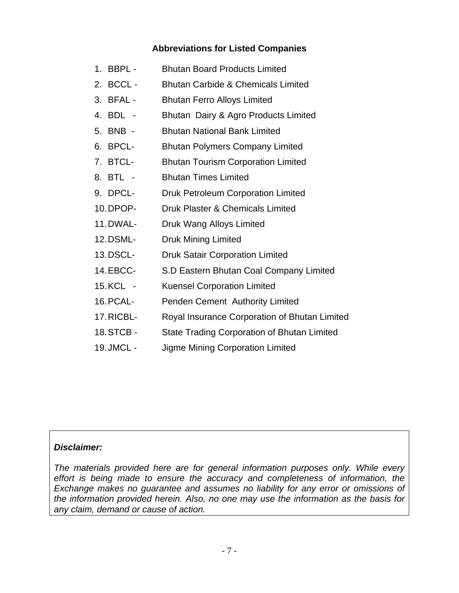# **Abbreviations for Listed Companies**

- 1. BBPL Bhutan Board Products Limited
- 2. BCCL Bhutan Carbide & Chemicals Limited
- 3. BFAL Bhutan Ferro Alloys Limited
- 4. BDL Bhutan Dairy & Agro Products Limited
- 5. BNB Bhutan National Bank Limited
- 6. BPCL- Bhutan Polymers Company Limited
- 7. BTCL- Bhutan Tourism Corporation Limited
- 8. BTL Bhutan Times Limited
- 9. DPCL- Druk Petroleum Corporation Limited
- 10. DPOP- Druk Plaster & Chemicals Limited
- 11. DWAL- Druk Wang Alloys Limited
- 12. DSML- Druk Mining Limited
- 13. DSCL- Druk Satair Corporation Limited
- 14. EBCC- S.D Eastern Bhutan Coal Company Limited
- 15. KCL Kuensel Corporation Limited
- 16. PCAL- Penden Cement Authority Limited
- 17. RICBL- Royal Insurance Corporation of Bhutan Limited
- 18. STCB State Trading Corporation of Bhutan Limited
- 19. JMCL Jigme Mining Corporation Limited

# *Disclaimer:*

*The materials provided here are for general information purposes only. While every effort is being made to ensure the accuracy and completeness of information, the Exchange makes no guarantee and assumes no liability for any error or omissions of the information provided herein. Also, no one may use the information as the basis for any claim, demand or cause of action.*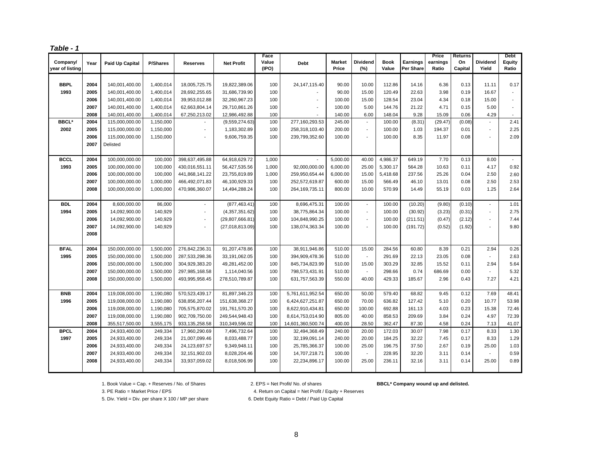| Jе<br>10 |  |
|----------|--|
|          |  |

| Company/        | Year | Paid Up Capital | <b>P/Shares</b> | <b>Reserves</b>          | <b>Net Profit</b> | Face<br>Value | <b>Debt</b>       | <b>Market</b> | <b>Dividend</b>             | <b>Book</b> | <b>Earnings</b> | Price<br>earnings | Returns<br>On | Dividend                 | <b>Debt</b><br>Equity |
|-----------------|------|-----------------|-----------------|--------------------------|-------------------|---------------|-------------------|---------------|-----------------------------|-------------|-----------------|-------------------|---------------|--------------------------|-----------------------|
| year of listing |      |                 |                 |                          |                   | (IPO)         |                   | Price         | (%)                         | Value       | Per Share       | Ratio             | Capital       | Yield                    | Ratio                 |
|                 |      |                 |                 |                          |                   |               |                   |               |                             |             |                 |                   |               |                          |                       |
| <b>BBPL</b>     | 2004 | 140,001,400.00  | 1,400,014       | 18,005,725.75            | 19,822,389.06     | 100           | 24, 147, 115.40   | 90.00         | 10.00                       | 112.86      | 14.16           | 6.36              | 0.13          | 11.11                    | 0.17                  |
| 1993            | 2005 | 140,001,400.00  | 1,400,014       | 28,692,255.65            | 31,686,739.90     | 100           |                   | 90.00         | 15.00                       | 120.49      | 22.63           | 3.98              | 0.19          | 16.67                    | $\mathbf{r}$          |
|                 | 2006 | 140,001,400.00  | 1,400,014       | 39,953,012.88            | 32,260,967.23     | 100           |                   | 100.00        | 15.00                       | 128.54      | 23.04           | 4.34              | 0.18          | 15.00                    | $\mathbf{r}$          |
|                 | 2007 | 140,001,400.00  | 1,400,014       | 62,663,804.14            | 29,710,861.26     | 100           |                   | 100.00        | 5.00                        | 144.76      | 21.22           | 4.71              | 0.15          | 5.00                     | $\blacksquare$        |
|                 | 2008 | 140,001,400.00  | 1,400,014       | 67,250,213.02            | 12,986,492.88     | 100           |                   | 140.00        | 6.00                        | 148.04      | 9.28            | 15.09             | 0.06          | 4.29                     | $\blacksquare$        |
| <b>BBCL*</b>    | 2004 | 115,000,000.00  | 1,150,000       |                          | (9,559,274.63)    | 100           | 277,160,293.53    | 245.00        | $\mathcal{L}_{\mathcal{A}}$ | 100.00      | (8.31)          | (29.47)           | (0.08)        | $\overline{a}$           | 2.41                  |
| 2002            | 2005 | 115,000,000.00  | 1,150,000       | $\blacksquare$           | 1,183,302.89      | 100           | 258,318,103.40    | 200.00        | $\mathcal{L}_{\mathcal{A}}$ | 100.00      | 1.03            | 194.37            | 0.01          | ÷,                       | 2.25                  |
|                 | 2006 | 115,000,000.00  | 1,150,000       | $\overline{\phantom{a}}$ | 9,606,759.35      | 100           | 239,799,352.60    | 100.00        | $\sim$                      | 100.00      | 8.35            | 11.97             | 0.08          | ÷,                       | 2.09                  |
|                 | 2007 | Delisted        |                 |                          |                   |               |                   |               |                             |             |                 |                   |               |                          |                       |
|                 |      |                 |                 |                          |                   |               |                   |               |                             |             |                 |                   |               |                          |                       |
| <b>BCCL</b>     | 2004 | 100,000,000.00  | 100,000         | 398,637,495.88           | 64,918,629.72     | 1,000         |                   | 5,000.00      | 40.00                       | 4,986.37    | 649.19          | 7.70              | 0.13          | 8.00                     |                       |
| 1993            | 2005 | 100,000,000.00  | 100,000         | 430,016,551.11           | 56,427,535.56     | 1,000         | 92,000,000.00     | 6,000.00      | 25.00                       | 5,300.17    | 564.28          | 10.63             | 0.11          | 4.17                     | 0.92                  |
|                 | 2006 | 100,000,000.00  | 100,000         | 441,868,141.22           | 23,755,819.89     | 1,000         | 259,950,654.44    | 6,000.00      | 15.00                       | 5,418.68    | 237.56          | 25.26             | 0.04          | 2.50                     | 2.60                  |
|                 | 2007 | 100,000,000.00  | 1,000,000       | 466,492,071.83           | 46,100,929.33     | 100           | 252,572,619.87    | 600.00        | 15.00                       | 566.49      | 46.10           | 13.01             | 0.08          | 2.50                     | 2.53                  |
|                 | 2008 | 100,000,000.00  | 1,000,000       | 470,986,360.07           | 14,494,288.24     | 100           | 264, 169, 735. 11 | 800.00        | 10.00                       | 570.99      | 14.49           | 55.19             | 0.03          | 1.25                     | 2.64                  |
|                 |      |                 |                 |                          |                   |               |                   |               |                             |             |                 |                   |               |                          |                       |
| <b>BDL</b>      | 2004 | 8,600,000.00    | 86,000          | $\blacksquare$           | (877, 463.41)     | 100           | 8,696,475.31      | 100.00        | $\overline{\phantom{a}}$    | 100.00      | (10.20)         | (9.80)            | (0.10)        | ÷,                       | 1.01                  |
| 1994            | 2005 | 14,092,900.00   | 140,929         | $\blacksquare$           | (4,357,351.62)    | 100           | 38,775,864.34     | 100.00        | $\overline{a}$              | 100.00      | (30.92)         | (3.23)            | (0.31)        | $\overline{a}$           | 2.75                  |
|                 | 2006 | 14,092,900.00   | 140,929         | $\overline{\phantom{a}}$ | (29, 807, 666.81) | 100           | 104,848,990.25    | 100.00        | $\sim$                      | 100.00      | (211.51)        | (0.47)            | (2.12)        | ÷,                       | 7.44                  |
|                 | 2007 | 14,092,900.00   | 140,929         | $\overline{a}$           | (27,018,813.09)   | 100           | 138,074,363.34    | 100.00        | $\blacksquare$              | 100.00      | (191.72)        | (0.52)            | (1.92)        | $\overline{\phantom{a}}$ | 9.80                  |
|                 | 2008 |                 |                 |                          |                   |               |                   |               |                             |             |                 |                   |               |                          |                       |
|                 |      |                 |                 |                          |                   |               |                   |               |                             |             |                 |                   |               |                          |                       |
| <b>BFAL</b>     | 2004 | 150,000,000.00  | 1,500,000       | 276,842,236.31           | 91,207,478.86     | 100           | 38,911,946.86     | 510.00        | 15.00                       | 284.56      | 60.80           | 8.39              | 0.21          | 2.94                     | 0.26                  |
| 1995            | 2005 | 150,000,000.00  | 1,500,000       | 287,533,298.36           | 33,191,062.05     | 100           | 394,909,478.36    | 510.00        | $\overline{a}$              | 291.69      | 22.13           | 23.05             | 0.08          |                          | 2.63                  |
|                 | 2006 | 150,000,000.00  | 1,500,000       | 304,929,383.20           | 49,281,452.00     | 100           | 845,734,823.99    | 510.00        | 15.00                       | 303.29      | 32.85           | 15.52             | 0.11          | 2.94                     | 5.64                  |
|                 | 2007 | 150,000,000.00  | 1,500,000       | 297,985,168.58           | 1,114,040.56      | 100           | 798,573,431.91    | 510.00        | $\overline{a}$              | 298.66      | 0.74            | 686.69            | 0.00          |                          | 5.32                  |
|                 | 2008 | 150,000,000.00  | 1,500,000       | 493,995,958.45           | 278,510,789.87    | 100           | 631,757,563.39    | 550.00        | 40.00                       | 429.33      | 185.67          | 2.96              | 0.43          | 7.27                     | 4.21                  |
|                 |      |                 |                 |                          |                   |               |                   |               |                             |             |                 |                   |               |                          |                       |
| <b>BNB</b>      | 2004 | 119,008,000.00  | 1,190,080       | 570,523,439.17           | 81,897,346.23     | 100           | 5,761,611,952.54  | 650.00        | 50.00                       | 579.40      | 68.82           | 9.45              | 0.12          | 7.69                     | 48.41                 |
| 1996            | 2005 | 119,008,000.00  | 1,190,080       | 638,856,207.44           | 151,638,368.27    | 100           | 6,424,627,251.87  | 650.00        | 70.00                       | 636.82      | 127.42          | 5.10              | 0.20          | 10.77                    | 53.98                 |
|                 | 2006 | 119,008,000.00  | 1,190,080       | 705,575,870.02           | 191,761,570.20    | 100           | 8,622,910,434.81  | 650.00        | 100.00                      | 692.88      | 161.13          | 4.03              | 0.23          | 15.38                    | 72.46                 |
|                 | 2007 | 119,008,000.00  | 1,190,080       | 902,709,750.00           | 249,544,948.43    | 100           | 8,614,753,014.90  | 805.00        | 40.00                       | 858.53      | 209.69          | 3.84              | 0.24          | 4.97                     | 72.39                 |
|                 | 2008 | 355,517,500.00  | 3,555,175       | 933, 135, 258.58         | 310,349,596.02    | 100           | 14,601,360,500.74 | 400.00        | 28.50                       | 362.47      | 87.30           | 4.58              | 0.24          | 7.13                     | 41.07                 |
| <b>BPCL</b>     | 2004 | 24,933,400.00   | 249,334         | 17,960,290.69            | 7,496,732.64      | 100           | 32,494,368.49     | 240.00        | 20.00                       | 172.03      | 30.07           | 7.98              | 0.17          | 8.33                     | 1.30                  |
| 1997            | 2005 | 24,933,400.00   | 249,334         | 21,007,099.46            | 8,033,488.77      | 100           | 32,199,091.14     | 240.00        | 20.00                       | 184.25      | 32.22           | 7.45              | 0.17          | 8.33                     | 1.29                  |
|                 | 2006 | 24,933,400.00   | 249,334         | 24,123,697.57            | 9,349,948.11      | 100           | 25,785,366.37     | 100.00        | 25.00                       | 196.75      | 37.50           | 2.67              | 0.19          | 25.00                    | 1.03                  |
|                 | 2007 | 24,933,400.00   | 249,334         | 32, 151, 902.03          | 8,028,204.46      | 100           | 14,707,218.71     | 100.00        | $\sim$                      | 228.95      | 32.20           | 3.11              | 0.14          | ÷,                       | 0.59                  |
|                 | 2008 | 24,933,400.00   | 249,334         | 33,937,059.02            | 8,018,506.99      | 100           | 22,234,896.17     | 100.00        | 25.00                       | 236.11      | 32.16           | 3.11              | 0.14          | 25.00                    | 0.89                  |
|                 |      |                 |                 |                          |                   |               |                   |               |                             |             |                 |                   |               |                          |                       |

1. Book Value = Cap. + Reserves / No. of Shares 2. EPS = Net Profit/ No. of shares **BBCL\* Company wound up and delisted.**

5. Div. Yield = Div. per share X 100 / MP per share 6. Debt Equity Ratio = Debt / Paid Up Capital

3. PE Ratio = Market Price / EPS 4. Return on Capital = Net Profit / Equity + Reserves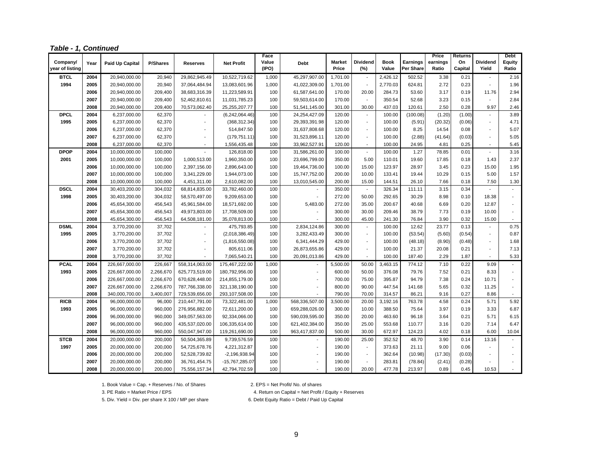|  | Table - 1, Continued |
|--|----------------------|
|  |                      |

|                 |      |                 |                 |                          |                   | Face           |                          |                        |                          |                      |                              | Price             | Returns       |                          | <b>Debt</b>              |
|-----------------|------|-----------------|-----------------|--------------------------|-------------------|----------------|--------------------------|------------------------|--------------------------|----------------------|------------------------------|-------------------|---------------|--------------------------|--------------------------|
| Company/        | Year | Paid Up Capital | <b>P/Shares</b> | <b>Reserves</b>          | <b>Net Profit</b> | Value<br>(IPO) | Debt                     | <b>Market</b><br>Price | <b>Dividend</b><br>(%)   | <b>Book</b><br>Value | <b>Earnings</b><br>Per Share | earnings<br>Ratio | On<br>Capital | <b>Dividend</b><br>Yield | <b>Equity</b><br>Ratio   |
| year of listing |      |                 |                 |                          |                   |                |                          |                        |                          |                      |                              |                   |               |                          |                          |
| <b>BTCL</b>     | 2004 | 20,940,000.00   | 20,940          | 29,862,945.49            | 10,522,719.62     | 1,000          | 45,297,907.00            | 1,701.00               | $\sim$                   | 2,426.12             | 502.52                       | 3.38              | 0.21          |                          | 2.16                     |
| 1994            | 2005 | 20,940,000.00   | 20,940          | 37,064,484.94            | 13,083,601.96     | 1,000          | 41,022,309.00            | 1,701.00               | $\blacksquare$           | 2,770.03             | 624.81                       | 2.72              | 0.23          | $\overline{a}$           | 1.96                     |
|                 | 2006 | 20,940,000.00   | 209,400         | 38,683,316.39            | 11,223,589.91     | 100            | 61,587,641.00            | 170.00                 | 20.00                    | 284.73               | 53.60                        | 3.17              | 0.19          | 11.76                    | 2.94                     |
|                 | 2007 | 20,940,000.00   | 209,400         | 52,462,810.61            | 11,031,785.23     | 100            | 59,503,614.00            | 170.00                 | $\sim$                   | 350.54               | 52.68                        | 3.23              | 0.15          | $\sim$                   | 2.84                     |
|                 | 2008 | 20,940,000.00   | 209,400         | 70,573,062.40            | 25,255,207.77     | 100            | 51,541,145.00            | 301.00                 | 30.00                    | 437.03               | 120.61                       | 2.50              | 0.28          | 9.97                     | 2.46                     |
| <b>DPCL</b>     | 2004 | 6,237,000.00    | 62,370          |                          | (6,242,064.46)    | 100            | 24,254,427.09            | 120.00                 | $\blacksquare$           | 100.00               | (100.08)                     | (1.20)            | (1.00)        | $\sim$                   | 3.89                     |
| 1995            | 2005 | 6,237,000.00    | 62,370          |                          | (368, 312.34)     | 100            | 29,393,391.98            | 120.00                 | $\sim$                   | 100.00               | (5.91)                       | (20.32)           | (0.06)        | $\overline{\phantom{a}}$ | 4.71                     |
|                 | 2006 | 6,237,000.00    | 62,370          | Ĭ.                       | 514,847.50        | 100            | 31,637,808.68            | 120.00                 | $\blacksquare$           | 100.00               | 8.25                         | 14.54             | 0.08          | $\overline{\phantom{a}}$ | 5.07                     |
|                 | 2007 | 6,237,000.00    | 62,370          |                          | (179, 751.11)     | 100            | 31,523,896.11            | 120.00                 | $\blacksquare$           | 100.00               | (2.88)                       | (41.64)           | (0.03)        | $\blacksquare$           | 5.05                     |
|                 | 2008 | 6,237,000.00    | 62,370          | $\overline{\phantom{a}}$ | 1,556,435.48      | 100            | 33,962,527.91            | 120.00                 | $\blacksquare$           | 100.00               | 24.95                        | 4.81              | 0.25          | $\overline{\phantom{a}}$ | 5.45                     |
| <b>DPOP</b>     | 2004 | 10,000,000.00   | 100,000         | $\blacksquare$           | 126,818.00        | 100            | 31,586,261.00            | 100.00                 | $\mathbf{r}$             | 100.00               | 1.27                         | 78.85             | 0.01          | $\sim$                   | 3.16                     |
| 2001            | 2005 | 10,000,000.00   | 100,000         | 1,000,513.00             | 1,960,350.00      | 100            | 23,696,799.00            | 350.00                 | 5.00                     | 110.01               | 19.60                        | 17.85             | 0.18          | 1.43                     | 2.37                     |
|                 | 2006 | 10,000,000.00   | 100,000         | 2,397,156.00             | 2,896,643.00      | 100            | 19,464,736.00            | 100.00                 | 15.00                    | 123.97               | 28.97                        | 3.45              | 0.23          | 15.00                    | 1.95                     |
|                 | 2007 | 10,000,000.00   | 100,000         | 3,341,229.00             | 1,944,073.00      | 100            | 15,747,752.00            | 200.00                 | 10.00                    | 133.41               | 19.44                        | 10.29             | 0.15          | 5.00                     | 1.57                     |
|                 | 2008 | 10,000,000.00   | 100,000         | 4,451,311.00             | 2,610,082.00      | 100            | 13,010,545.00            | 200.00                 | 15.00                    | 144.51               | 26.10                        | 7.66              | 0.18          | 7.50                     | 1.30                     |
| <b>DSCL</b>     | 2004 | 30,403,200.00   | 304,032         | 68,814,835.00            | 33,782,460.00     | 100            |                          | 350.00                 | $\blacksquare$           | 326.34               | 111.11                       | 3.15              | 0.34          |                          |                          |
| 1998            | 2005 | 30,403,200.00   | 304,032         | 58,570,497.00            | 9,209,653.00      | 100            |                          | 272.00                 | 50.00                    | 292.65               | 30.29                        | 8.98              | 0.10          | 18.38                    | $\overline{\phantom{a}}$ |
|                 | 2006 | 45,654,300.00   | 456,543         | 45,961,584.00            | 18,571,692.00     | 100            | 5,483.00                 | 272.00                 | 35.00                    | 200.67               | 40.68                        | 6.69              | 0.20          | 12.87                    | $\overline{a}$           |
|                 | 2007 | 45,654,300.00   | 456,543         | 49,973,803.00            | 17,708,509.00     | 100            |                          | 300.00                 | 30.00                    | 209.46               | 38.79                        | 7.73              | 0.19          | 10.00                    | $\blacksquare$           |
|                 | 2008 | 45,654,300.00   | 456,543         | 64,508,181.00            | 35,078,813.00     | 100            |                          | 300.00                 | 45.00                    | 241.30               | 76.84                        | 3.90              | 0.32          | 15.00                    |                          |
| <b>DSML</b>     | 2004 | 3,770,200.00    | 37,702          |                          | 475,793.85        | 100            | 2,834,124.86             | 300.00                 | $\mathbf{r}$             | 100.00               | 12.62                        | 23.77             | 0.13          | $\overline{\phantom{a}}$ | 0.75                     |
| 1995            | 2005 | 3,770,200.00    | 37,702          | $\overline{a}$           | (2,018,386.49)    | 100            | 3,282,433.49             | 300.00                 | $\sim$                   | 100.00               | (53.54)                      | (5.60)            | (0.54)        | $\blacksquare$           | 0.87                     |
|                 | 2006 | 3,770,200.00    | 37,702          |                          | (1,816,550.08)    | 100            | 6,341,444.29             | 429.00                 | $\overline{\phantom{a}}$ | 100.00               | (48.18)                      | (8.90)            | (0.48)        | ä,                       | 1.68                     |
|                 | 2007 | 3,770,200.00    | 37,702          | ä,                       | 805,611.06        | 100            | 26,873,655.86            | 429.00                 | $\blacksquare$           | 100.00               | 21.37                        | 20.08             | 0.21          | $\blacksquare$           | 7.13                     |
|                 | 2008 | 3,770,200.00    | 37,702          | ۰                        | 7,065,540.21      | 100            | 20,091,013.86            | 429.00                 | $\sim$                   | 100.00               | 187.40                       | 2.29              | 1.87          | $\sim$                   | 5.33                     |
| <b>PCAL</b>     | 2004 | 226,667,000.00  | 226,667         | 558,314,063.00           | 175,467,222.00    | 1,000          | $\blacksquare$           | 5,500.00               | 50.00                    | 3,463.15             | 774.12                       | 7.10              | 0.22          | 9.09                     | $\blacksquare$           |
| 1993            | 2005 | 226,667,000.00  | 2,266,670       | 625,773,519.00           | 180,792,956.00    | 100            | $\overline{\phantom{a}}$ | 600.00                 | 50.00                    | 376.08               | 79.76                        | 7.52              | 0.21          | 8.33                     | $\overline{\phantom{a}}$ |
|                 | 2006 | 226,667,000.00  | 2,266,670       | 670,628,448.00           | 214,855,179.00    | 100            |                          | 700.00                 | 75.00                    | 395.87               | 94.79                        | 7.38              | 0.24          | 10.71                    | $\overline{\phantom{a}}$ |
|                 | 2007 | 226,667,000.00  | 2,266,670       | 787,766,338.00           | 321,138,190.00    | 100            |                          | 800.00                 | 90.00                    | 447.54               | 141.68                       | 5.65              | 0.32          | 11.25                    | $\overline{\phantom{a}}$ |
|                 | 2008 | 340,000,700.00  | 3,400,007       | 729,539,656.00           | 293,107,508.00    | 100            |                          | 790.00                 | 70.00                    | 314.57               | 86.21                        | 9.16              | 0.27          | 8.86                     | $\blacksquare$           |
| <b>RICB</b>     | 2004 | 96,000,000.00   | 96,000          | 210,447,791.00           | 73,322,481.00     | 1,000          | 568,336,507.00           | 3,500.00               | 20.00                    | 3,192.16             | 763.78                       | 4.58              | 0.24          | 5.71                     | 5.92                     |
| 1993            | 2005 | 96,000,000.00   | 960,000         | 276,956,882.00           | 72,611,200.00     | 100            | 659,288,026.00           | 300.00                 | 10.00                    | 388.50               | 75.64                        | 3.97              | 0.19          | 3.33                     | 6.87                     |
|                 | 2006 | 96,000,000.00   | 960,000         | 349,057,563.00           | 92,334,066.00     | 100            | 590,039,595.00           | 350.00                 | 20.00                    | 463.60               | 96.18                        | 3.64              | 0.21          | 5.71                     | 6.15                     |
|                 | 2007 | 96,000,000.00   | 960,000         | 435,537,020.00           | 106,335,614.00    | 100            | 621,402,384.00           | 350.00                 | 25.00                    | 553.68               | 110.77                       | 3.16              | 0.20          | 7.14                     | 6.47                     |
|                 | 2008 | 96,000,000.00   | 960,000         | 550,047,947.00           | 119,261,690.00    | 100            | 963,417,837.00           | 500.00                 | 30.00                    | 672.97               | 124.23                       | 4.02              | 0.18          | 6.00                     | 10.04                    |
| <b>STCB</b>     | 2004 | 20,000,000.00   | 200,000         | 50,504,365.89            | 9,739,576.59      | 100            | $\overline{\phantom{a}}$ | 190.00                 | 25.00                    | 352.52               | 48.70                        | 3.90              | 0.14          | 13.16                    | $\overline{\phantom{a}}$ |
| 1997            | 2005 | 20,000,000.00   | 200,000         | 54,725,678.76            | 4,221,312.87      | 100            | $\overline{\phantom{a}}$ | 190.00                 | $\blacksquare$           | 373.63               | 21.11                        | 9.00              | 0.06          | $\overline{\phantom{a}}$ | $\blacksquare$           |
|                 | 2006 | 20,000,000.00   | 200,000         | 52,528,739.82            | -2,196,938.94     | 100            |                          | 190.00                 | $\overline{\phantom{a}}$ | 362.64               | (10.98)                      | (17.30)           | (0.03)        |                          |                          |
|                 | 2007 | 20,000,000.00   | 200,000         | 36,761,454.75            | -15,767,285.07    | 100            |                          | 190.00                 | $\overline{\phantom{a}}$ | 283.81               | (78.84)                      | (2.41)            | (0.28)        |                          |                          |
|                 | 2008 | 20,000,000.00   | 200,000         | 75,556,157.34            | 42,794,702.59     | 100            |                          | 190.00                 | 20.00                    | 477.78               | 213.97                       | 0.89              | 0.45          | 10.53                    |                          |

1. Book Value = Cap. + Reserves / No. of Shares 2. EPS = Net Profit/ No. of shares

5. Div. Yield = Div. per share X 100 / MP per share 6. Debt Equity Ratio = Debt / Paid Up Capital

3. PE Ratio = Market Price / EPS 4. Return on Capital = Net Profit / Equity + Reserves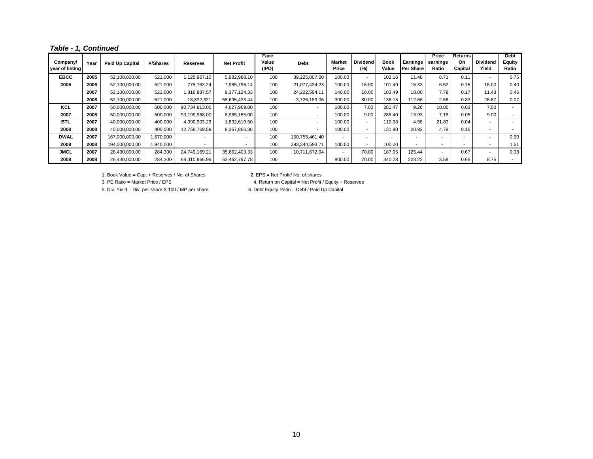*Table - 1, Continued*

| Company/<br>vear of listing | Year | <b>Paid Up Capital</b> | <b>P/Shares</b> | <b>Reserves</b> | <b>Net Profit</b>        | Face<br>Value<br>(IPO) | <b>Debt</b>              | <b>Market</b><br>Price   | <b>Dividend</b><br>$(\%)$ | <b>Book</b><br>Value     | Earnings<br>Per Share | Price<br>earnings<br>Ratio | Returns<br>On<br>Capital | <b>Dividend</b><br>Yield | <b>Debt</b><br>Equity<br>Ratio |
|-----------------------------|------|------------------------|-----------------|-----------------|--------------------------|------------------------|--------------------------|--------------------------|---------------------------|--------------------------|-----------------------|----------------------------|--------------------------|--------------------------|--------------------------------|
| <b>EBCC</b>                 | 2005 | 52,100,000.00          | 521,000         | 125,967.10      | 5,982,988.10             | 100                    | 39,225,007.00            | 100.00                   | $\sim$                    | 102.16                   | 11.48                 | 8.71                       | 0.11                     | ۰.                       | 0.75                           |
| 2005                        | 2006 | 52,100,000.00          | 521,000         | 775,763.24      | 7,985,796.14             | 100                    | 21,077,434.23            | 100.00                   | 16.00                     | 101.49                   | 15.33                 | 6.52                       | 0.15                     | 16.00                    | 0.40                           |
|                             | 2007 | 52,100,000.00          | 521,000         | 1,816,887.57    | 9,377,124.33             | 100                    | 24,222,594.11            | 140.00                   | 16.00                     | 103.49                   | 18.00                 | 7.78                       | 0.17                     | 11.43                    | 0.46                           |
|                             | 2008 | 52,100,000.00          | 521,000         | 18,832,321      | 58,695,433.44            | 100                    | 3,726,189.05             | 300.00                   | 80.00                     | 136.15                   | 112.66                | 2.66                       | 0.83                     | 26.67                    | 0.07                           |
| <b>KCL</b>                  | 2007 | 50,000,000.00          | 500,000         | 90,734,813.00   | 4,627,969.00             | 100                    | $\overline{\phantom{a}}$ | 100.00                   | 7.00                      | 281.47                   | 9.26                  | 10.80                      | 0.03                     | 7.00                     |                                |
| 2007                        | 2008 | 50,000,000.00          | 500,000         | 93,199,968.00   | 6,965,155.00             | 100                    | $\overline{\phantom{a}}$ | 100.00                   | 9.00                      | 286.40                   | 13.93                 | 7.18                       | 0.05                     | 9.00                     |                                |
| <b>BTL</b>                  | 2007 | 40,000,000.00          | 400,000         | 4,390,903.29    | 1,832,619.50             | 100                    | $\overline{\phantom{a}}$ | 100.00                   | $\overline{\phantom{a}}$  | 110.98                   | 4.58                  | 21.83                      | 0.04                     |                          |                                |
| 2008                        | 2008 | 40,000,000.00          | 400,000         | 12,758,769.59   | 8,367,866.30             | 100                    | $\overline{\phantom{a}}$ | 100.00                   | . .                       | 131.90                   | 20.92                 | 4.78                       | 0.16                     |                          |                                |
| <b>DWAL</b>                 | 2007 | 167,000,000.00         | ,670,000        |                 | $\overline{\phantom{a}}$ | 100                    | 150,755,461.40           | ۰.                       | ۰.                        | $\overline{\phantom{a}}$ | $\sim$                | $\overline{\phantom{a}}$   | $\overline{\phantom{a}}$ |                          | 0.90                           |
| 2008                        | 2008 | 194,000,000.00         | .940.000        |                 | $\blacksquare$           | 100                    | 293,344,593.71           | 100.00                   | $\overline{\phantom{a}}$  | 100.00                   |                       |                            |                          |                          | 1.51                           |
| <b>JMCL</b>                 | 2007 | 28,430,000.00          | 284,300         | 24,749,169.21   | 35,662,403.33            | 100                    | 10,711,672.04            | $\overline{\phantom{a}}$ | 70.00                     | 187.05                   | 125.44                | $\overline{\phantom{a}}$   | 0.67                     | ۰.                       | 0.38                           |
| 2008                        | 2008 | 28,430,000.00          | 284,300         | 68,310,966.99   | 63,462,797.78            | 100                    | $\overline{\phantom{a}}$ | 800.00                   | 70.00                     | 340.28                   | 223.22                | 3.58                       | 0.66                     | 8.75                     |                                |

1. Book Value = Cap. + Reserves / No. of Shares 2. EPS = Net Profit/ No. of shares

5. Div. Yield = Div. per share X 100 / MP per share 6. Debt Equity Ratio = Debt / Paid Up Capital

3. PE Ratio = Market Price / EPS 4. Return on Capital = Net Profit / Equity + Reserves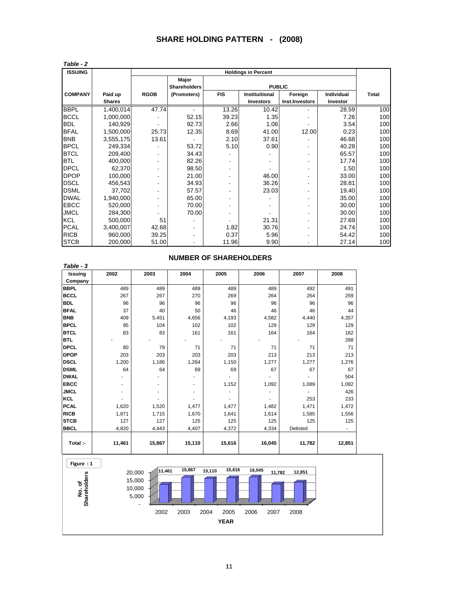# **SHARE HOLDING PATTERN - (2008)**

| Table - 2      |               |             |                     |            |                            |                |                   |              |
|----------------|---------------|-------------|---------------------|------------|----------------------------|----------------|-------------------|--------------|
| <b>ISSUING</b> |               |             |                     |            | <b>Holdings in Percent</b> |                |                   |              |
|                |               |             | Major               |            |                            |                |                   |              |
|                |               |             | <b>Shareholders</b> |            | <b>PUBLIC</b>              |                |                   |              |
| <b>COMPANY</b> | Paid up       | <b>RGOB</b> | (Promoters)         | <b>FIS</b> | Instituitional             | Foreign        | <b>Individual</b> | <b>Total</b> |
|                | <b>Shares</b> |             |                     |            | <b>Investors</b>           | Inst.Investors | Investor          |              |
| <b>BBPL</b>    | 1,400,014     | 47.74       |                     | 13.26      | 10.42                      |                | 28.59             | 100          |
| <b>BCCL</b>    | 1,000,000     |             | 52.15               | 39.23      | 1.35                       |                | 7.26              | 100          |
| <b>BDL</b>     | 140,929       |             | 92.73               | 2.66       | 1.06                       |                | 3.54              | 100          |
| <b>BFAL</b>    | 1,500,000     | 25.73       | 12.35               | 8.69       | 41.00                      | 12.00          | 0.23              | 100          |
| <b>BNB</b>     | 3,555,175     | 13.61       |                     | 2.10       | 37.61                      |                | 46.68             | 100          |
| <b>BPCL</b>    | 249,334       |             | 53.72               | 5.10       | 0.90                       | ٠              | 40.28             | 100          |
| <b>BTCL</b>    | 209,400       | ٠           | 34.43               |            |                            | ۰              | 65.57             | 100          |
| <b>BTL</b>     | 400,000       | ۰           | 82.26               |            |                            |                | 17.74             | 100          |
| <b>DPCL</b>    | 62,370        | ٠           | 98.50               | ٠          |                            | ۰              | 1.50              | 100          |
| <b>DPOP</b>    | 100,000       |             | 21.00               |            | 46.00                      |                | 33.00             | 100          |
| <b>DSCL</b>    | 456,543       |             | 34.93               |            | 36.26                      | ٠              | 28.81             | 100          |
| <b>DSML</b>    | 37,702        |             | 57.57               |            | 23.03                      |                | 19.40             | 100          |
| <b>DWAL</b>    | 1,940,000     |             | 65.00               |            |                            | ٠              | 35.00             | 100          |
| <b>EBCC</b>    | 520,000       | ٠           | 70.00               |            |                            |                | 30.00             | 100          |
| <b>JMCL</b>    | 284,300       |             | 70.00               |            |                            |                | 30.00             | 100          |
| <b>KCL</b>     | 500,000       | 51          |                     |            | 21.31                      |                | 27.69             | 100          |
| <b>PCAL</b>    | 3,400,007     | 42.68       |                     | 1.82       | 30.76                      | ۰              | 24.74             | 100          |
| <b>RICB</b>    | 960,000       | 39.25       |                     | 0.37       | 5.96                       |                | 54.42             | 100          |
| <b>STCB</b>    | 200,000       | 51.00       |                     | 11.96      | 9.90                       |                | 27.14             | 100          |

| <b>Issuing</b> | 2002   | 2003   | 2004                     | 2005   | 2006   | 2007     | 2008   |
|----------------|--------|--------|--------------------------|--------|--------|----------|--------|
| Company        |        |        |                          |        |        |          |        |
| <b>BBPL</b>    | 489    | 489    | 489                      | 489    | 489    | 492      | 491    |
| <b>BCCL</b>    | 267    | 267    | 270                      | 269    | 264    | 264      | 259    |
| <b>BDL</b>     | 96     | 96     | 96                       | 96     | 96     | 96       | 96     |
| <b>BFAL</b>    | 37     | 40     | 50                       | 46     | 46     | 46       | 44     |
| <b>BNB</b>     | 409    | 5,451  | 4,656                    | 4,193  | 4,582  | 4,440    | 4,357  |
| <b>BPCL</b>    | 95     | 104    | 102                      | 102    | 129    | 129      | 129    |
| <b>BTCL</b>    | 83     | 83     | 161                      | 161    | 164    | 164      | 162    |
| <b>BTL</b>     |        |        |                          |        |        |          | 288    |
| <b>DPCL</b>    | 80     | 79     | 71                       | 71     | 71     | 71       | 71     |
| <b>DPOP</b>    | 203    | 203    | 203                      | 203    | 213    | 213      | 213    |
| <b>DSCL</b>    | 1,200  | 1,186  | 1,264                    | 1,150  | 1,277  | 1,277    | 1,276  |
| <b>DSML</b>    | 64     | 64     | 69                       | 69     | 67     | 67       | 67     |
| <b>DWAL</b>    |        |        |                          |        |        |          | 504    |
| <b>EBCC</b>    |        |        | $\overline{\phantom{a}}$ | 1,152  | 1,092  | 1,089    | 1,082  |
| <b>JMCL</b>    |        |        |                          |        |        |          | 426    |
| <b>KCL</b>     |        |        |                          |        |        | 253      | 233    |
| <b>PCAL</b>    | 1,620  | 1,520  | 1,477                    | 1,477  | 1,482  | 1,471    | 1,472  |
| <b>RICB</b>    | 1,871  | 1,715  | 1,670                    | 1,641  | 1,614  | 1,585    | 1,556  |
| <b>STCB</b>    | 127    | 127    | 125                      | 125    | 125    | 125      | 125    |
| <b>BBCL</b>    | 4,820  | 4,443  | 4,407                    | 4,372  | 4,334  | Delisted | ٠      |
| Total :-       | 11,461 | 15,867 | 15,110                   | 15,616 | 16,045 | 11,782   | 12,851 |



#### **NUMBER OF SHAREHOLDERS**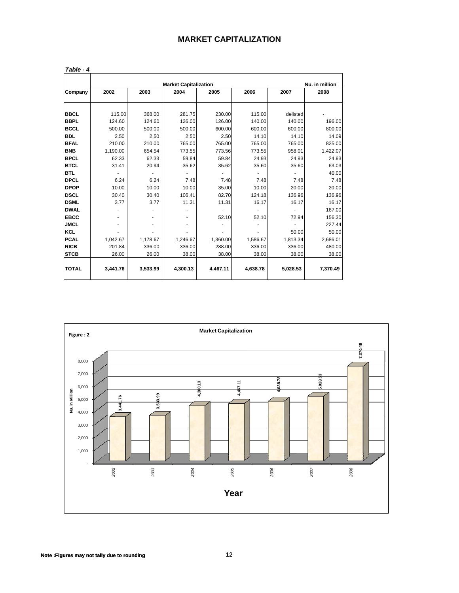| <b>MARKET CAPITALIZATION</b> |  |  |  |  |  |  |  |  |  |  |  |  |  |  |  |  |  |
|------------------------------|--|--|--|--|--|--|--|--|--|--|--|--|--|--|--|--|--|
|------------------------------|--|--|--|--|--|--|--|--|--|--|--|--|--|--|--|--|--|

|              |          |                  | <b>Market Capitalization</b> |          |          |          | Nu. in million |
|--------------|----------|------------------|------------------------------|----------|----------|----------|----------------|
| Company      | 2002     | 2003             | 2004                         | 2005     | 2006     | 2007     | 2008           |
| <b>BBCL</b>  | 115.00   | 368.00           | 281.75                       | 230.00   | 115.00   | delisted |                |
| <b>BBPL</b>  | 124.60   |                  | 126.00                       | 126.00   | 140.00   | 140.00   | 196.00         |
| <b>BCCL</b>  | 500.00   | 124.60<br>500.00 |                              | 600.00   | 600.00   | 600.00   |                |
|              |          |                  | 500.00                       |          |          |          | 800.00         |
| <b>BDL</b>   | 2.50     | 2.50             | 2.50                         | 2.50     | 14.10    | 14.10    | 14.09          |
| <b>BFAL</b>  | 210.00   | 210.00           | 765.00                       | 765.00   | 765.00   | 765.00   | 825.00         |
| <b>BNB</b>   | 1,190.00 | 654.54           | 773.55                       | 773.56   | 773.55   | 958.01   | 1,422.07       |
| <b>BPCL</b>  | 62.33    | 62.33            | 59.84                        | 59.84    | 24.93    | 24.93    | 24.93          |
| <b>BTCL</b>  | 31.41    | 20.94            | 35.62                        | 35.62    | 35.60    | 35.60    | 63.03          |
| <b>BTL</b>   |          |                  |                              |          |          |          | 40.00          |
| <b>DPCL</b>  | 6.24     | 6.24             | 7.48                         | 7.48     | 7.48     | 7.48     | 7.48           |
| <b>DPOP</b>  | 10.00    | 10.00            | 10.00                        | 35.00    | 10.00    | 20.00    | 20.00          |
| <b>DSCL</b>  | 30.40    | 30.40            | 106.41                       | 82.70    | 124.18   | 136.96   | 136.96         |
| <b>DSML</b>  | 3.77     | 3.77             | 11.31                        | 11.31    | 16.17    | 16.17    | 16.17          |
| <b>DWAL</b>  |          |                  |                              |          |          |          | 167.00         |
| <b>EBCC</b>  |          | ۰                |                              | 52.10    | 52.10    | 72.94    | 156.30         |
| <b>JMCL</b>  |          |                  |                              |          |          |          | 227.44         |
| <b>KCL</b>   |          |                  |                              |          |          | 50.00    | 50.00          |
| <b>PCAL</b>  | 1,042.67 | 1,178.67         | 1,246.67                     | 1,360.00 | 1,586.67 | 1,813.34 | 2,686.01       |
| <b>RICB</b>  | 201.84   | 336.00           | 336.00                       | 288.00   | 336.00   | 336.00   | 480.00         |
| <b>STCB</b>  | 26.00    | 26.00            | 38.00                        | 38.00    | 38.00    | 38.00    | 38.00          |
| <b>TOTAL</b> | 3,441.76 | 3,533.99         | 4,300.13                     | 4.467.11 | 4,638.78 | 5,028.53 | 7.370.49       |

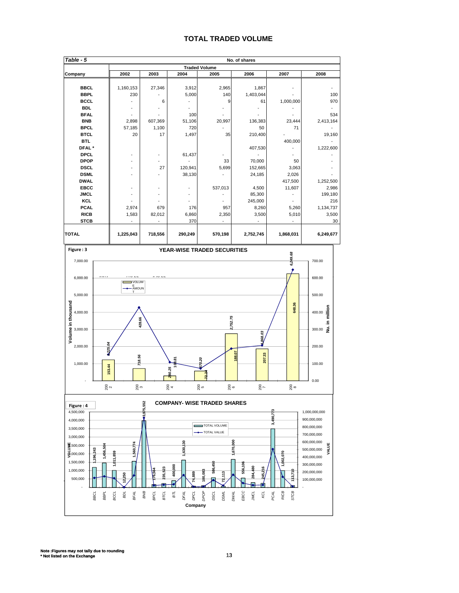#### **TOTAL TRADED VOLUME**

| Table - 5         | No. of shares |         |         |                      |           |           |           |  |  |  |  |  |  |
|-------------------|---------------|---------|---------|----------------------|-----------|-----------|-----------|--|--|--|--|--|--|
|                   |               |         |         | <b>Traded Volume</b> |           |           |           |  |  |  |  |  |  |
| Company           | 2002          | 2003    | 2004    | 2005                 | 2006      | 2007      | 2008      |  |  |  |  |  |  |
|                   |               |         |         |                      |           |           |           |  |  |  |  |  |  |
| <b>BBCL</b>       | 1,160,153     | 27,346  | 3,912   | 2,965                | 1,867     |           |           |  |  |  |  |  |  |
| <b>BBPL</b>       | 230           |         | 5,000   | 140                  | 1,403,044 |           | 100       |  |  |  |  |  |  |
| <b>BCCL</b>       |               | 6       |         | 9                    | 61        | 1,000,000 | 970       |  |  |  |  |  |  |
| <b>BDL</b>        |               |         |         |                      |           |           |           |  |  |  |  |  |  |
| <b>BFAL</b>       |               |         | 100     |                      |           |           | 534       |  |  |  |  |  |  |
| <b>BNB</b>        | 2,898         | 607,369 | 51,106  | 20,997               | 136,383   | 23,444    | 2,413,164 |  |  |  |  |  |  |
| <b>BPCL</b>       | 57,185        | 1,100   | 720     |                      | 50        | 71        |           |  |  |  |  |  |  |
| <b>BTCL</b>       | 20            | 17      | 1,497   | 35                   | 210,400   |           | 19,160    |  |  |  |  |  |  |
| <b>BTL</b>        |               |         |         |                      |           | 400,000   |           |  |  |  |  |  |  |
| DFAL <sup>*</sup> |               |         |         |                      | 407,530   |           | 1,222,600 |  |  |  |  |  |  |
| <b>DPCL</b>       |               |         | 61,437  |                      |           |           |           |  |  |  |  |  |  |
| <b>DPOP</b>       |               | ٠       |         | 33                   | 70,000    | 50        |           |  |  |  |  |  |  |
| <b>DSCL</b>       |               | 27      | 120,941 | 5,699                | 152,665   | 3,063     |           |  |  |  |  |  |  |
| <b>DSML</b>       |               |         | 38,130  |                      | 24,185    | 2,026     |           |  |  |  |  |  |  |
| <b>DWAL</b>       |               |         |         |                      |           | 417,500   | 1,252,500 |  |  |  |  |  |  |
| <b>EBCC</b>       |               |         |         | 537,013              | 4,500     | 11,607    | 2,986     |  |  |  |  |  |  |
| <b>JMCL</b>       |               |         |         |                      | 85,300    |           | 199,180   |  |  |  |  |  |  |
| KCL               |               |         |         |                      | 245,000   |           | 216       |  |  |  |  |  |  |
| <b>PCAL</b>       | 2,974         | 679     | 176     | 957                  | 8,260     | 5,260     | 1,134,737 |  |  |  |  |  |  |
| <b>RICB</b>       | 1,583         | 82,012  | 6,860   | 2,350                | 3,500     | 5,010     | 3,500     |  |  |  |  |  |  |
| <b>STCB</b>       |               |         | 370     |                      |           |           | 30        |  |  |  |  |  |  |
| <b>TOTAL</b>      | 1,225,043     | 718,556 | 290,249 | 570,198              | 2,752,745 | 1,868,031 | 6,249,677 |  |  |  |  |  |  |





**Note :Figures may not tally due to rounding \* Not listed on the Exchange** 13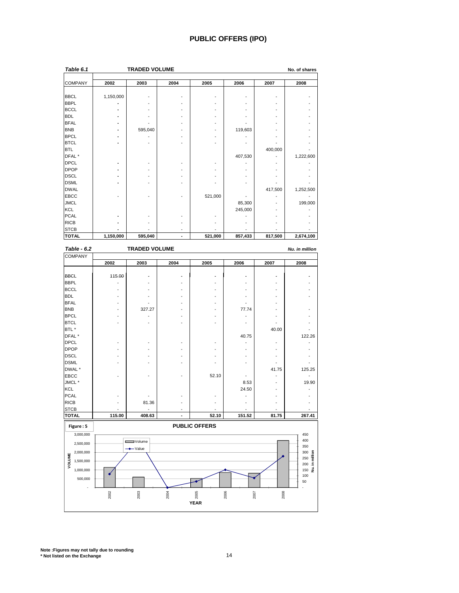#### **PUBLIC OFFERS (IPO)**

| Table 6.1         |           | <b>TRADED VOLUME</b> |      |         |         |         | No. of shares |
|-------------------|-----------|----------------------|------|---------|---------|---------|---------------|
|                   |           |                      |      |         |         |         |               |
| <b>COMPANY</b>    | 2002      | 2003                 | 2004 | 2005    | 2006    | 2007    | 2008          |
| <b>BBCL</b>       | 1,150,000 |                      |      |         |         |         |               |
| <b>BBPL</b>       |           |                      |      |         |         |         |               |
|                   |           |                      |      |         |         |         |               |
| <b>BCCL</b>       |           |                      |      |         |         |         |               |
| <b>BDL</b>        |           |                      |      |         |         |         |               |
| <b>BFAL</b>       | ۰         |                      |      |         |         |         |               |
| <b>BNB</b>        | ۰         | 595,040              |      |         | 119,603 |         |               |
| <b>BPCL</b>       |           |                      |      |         |         |         |               |
| <b>BTCL</b>       |           |                      |      |         |         |         |               |
| <b>BTL</b>        |           |                      |      |         |         | 400,000 |               |
| DFAL <sup>*</sup> |           |                      |      |         | 407,530 |         | 1,222,600     |
| <b>DPCL</b>       | ۰         |                      |      |         |         |         |               |
| <b>DPOP</b>       | ۰         |                      |      |         |         |         |               |
| <b>DSCL</b>       | ٠         |                      |      |         |         |         |               |
| <b>DSML</b>       |           |                      |      |         |         |         |               |
| <b>DWAL</b>       |           |                      |      |         |         | 417,500 | 1,252,500     |
| <b>EBCC</b>       |           |                      |      | 521,000 |         |         |               |
| <b>JMCL</b>       |           |                      |      |         | 85,300  |         | 199,000       |
| <b>KCL</b>        |           |                      |      |         | 245,000 |         |               |
| <b>PCAL</b>       |           |                      |      |         |         |         |               |
| <b>RICB</b>       |           |                      |      |         |         |         |               |
| <b>STCB</b>       |           |                      |      |         |         |         |               |
| <b>TOTAL</b>      | 1,150,000 | 595,040              |      | 521,000 | 857,433 | 817,500 | 2,674,100     |



**Note :Figures may not tally due to rounding \* Not listed on the Exchange** 14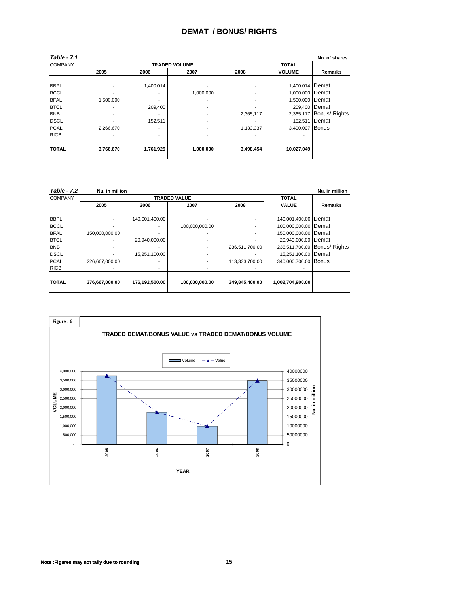#### **DEMAT / BONUS/ RIGHTS**

| <b>Table - 7.1</b> |                |           |                      |           |                 | No. of shares           |
|--------------------|----------------|-----------|----------------------|-----------|-----------------|-------------------------|
| <b>COMPANY</b>     |                |           | <b>TRADED VOLUME</b> |           | <b>TOTAL</b>    |                         |
|                    | 2005           | 2006      | 2007                 | 2008      | <b>VOLUME</b>   | Remarks                 |
|                    |                |           |                      |           |                 |                         |
| <b>BBPL</b>        | $\blacksquare$ | 1,400,014 |                      | ۰         | 1,400,014 Demat |                         |
| <b>BCCL</b>        | ۰              |           | 1,000,000            | ۰         | 1,000,000 Demat |                         |
| <b>BFAL</b>        | 1,500,000      |           |                      | ۰         | 1,500,000 Demat |                         |
| <b>BTCL</b>        | ۰              | 209,400   | ۰                    |           | 209,400 Demat   |                         |
| <b>BNB</b>         | ۰              |           | ۰                    | 2,365,117 |                 | 2,365,117 Bonus/ Rights |
| <b>DSCL</b>        |                | 152,511   | ۰                    |           |                 | 152,511 Demat           |
| <b>PCAL</b>        | 2,266,670      |           | ۰                    | 1,133,337 | 3,400,007 Bonus |                         |
| <b>RICB</b>        | $\blacksquare$ | ٠         | ۰                    |           |                 |                         |
| <b>TOTAL</b>       | 3,766,670      | 1,761,925 | 1,000,000            | 3,498,454 | 10,027,049      |                         |

| <b>Table - 7.2</b> | Nu. in million |                |                     |                |                        | Nu. in million               |
|--------------------|----------------|----------------|---------------------|----------------|------------------------|------------------------------|
| <b>COMPANY</b>     |                |                | <b>TRADED VALUE</b> |                | <b>TOTAL</b>           |                              |
|                    | 2005           | 2006           | 2007                | 2008           | <b>VALUE</b>           | Remarks                      |
|                    |                |                |                     |                |                        |                              |
| <b>BBPL</b>        |                | 140,001,400.00 |                     |                | 140,001,400.00 Demat   |                              |
| <b>BCCL</b>        |                |                | 100,000,000.00      |                | 100,000,000.00   Demat |                              |
| <b>BFAL</b>        | 150,000,000.00 |                |                     |                | 150,000,000.00   Demat |                              |
| <b>BTCL</b>        |                | 20,940,000.00  |                     |                | 20,940,000.00 Demat    |                              |
| <b>BNB</b>         |                |                |                     | 236,511,700.00 |                        | 236,511,700.00 Bonus/ Rights |
| <b>DSCL</b>        |                | 15,251,100.00  |                     |                | 15,251,100.00 Demat    |                              |
| <b>PCAL</b>        | 226,667,000.00 |                |                     | 113,333,700.00 | 340,000,700.00 Bonus   |                              |
| <b>RICB</b>        |                |                |                     |                |                        |                              |
| <b>TOTAL</b>       |                |                |                     |                |                        |                              |
|                    | 376,667,000.00 | 176,192,500.00 | 100,000,000.00      | 349,845,400.00 | 1,002,704,900.00       |                              |



**Note :Figures may not tally due to rounding** 15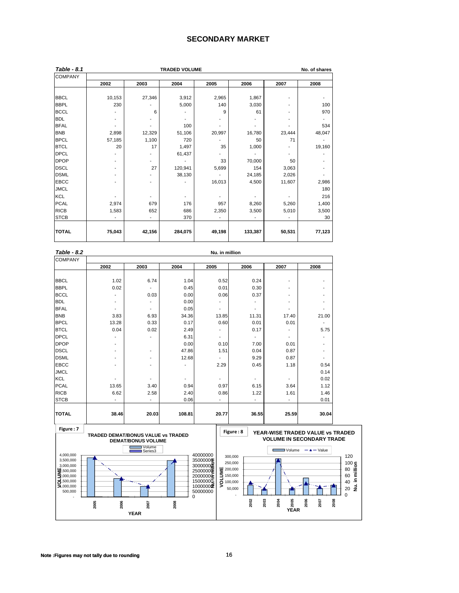#### **SECONDARY MARKET**

| Table - 8.1    |        |        | <b>TRADED VOLUME</b> |        |         |        | No. of shares |
|----------------|--------|--------|----------------------|--------|---------|--------|---------------|
| <b>COMPANY</b> |        |        |                      |        |         |        |               |
|                | 2002   | 2003   | 2004                 | 2005   | 2006    | 2007   | 2008          |
|                |        |        |                      |        |         |        |               |
| <b>BBCL</b>    | 10,153 | 27,346 | 3,912                | 2,965  | 1,867   |        |               |
| <b>BBPL</b>    | 230    |        | 5,000                | 140    | 3,030   |        | 100           |
| <b>BCCL</b>    |        | 6      |                      | 9      | 61      |        | 970           |
| <b>BDL</b>     |        |        |                      |        |         |        |               |
| <b>BFAL</b>    |        |        | 100                  |        |         |        | 534           |
| <b>BNB</b>     | 2,898  | 12,329 | 51,106               | 20,997 | 16,780  | 23,444 | 48,047        |
| <b>BPCL</b>    | 57,185 | 1,100  | 720                  |        | 50      | 71     |               |
| <b>BTCL</b>    | 20     | 17     | 1,497                | 35     | 1,000   |        | 19,160        |
| <b>DPCL</b>    |        |        | 61,437               |        |         |        |               |
| <b>DPOP</b>    |        | -      |                      | 33     | 70,000  | 50     |               |
| <b>DSCL</b>    |        | 27     | 120,941              | 5,699  | 154     | 3,063  |               |
| <b>DSML</b>    |        |        | 38,130               |        | 24,185  | 2,026  |               |
| <b>EBCC</b>    |        |        |                      | 16,013 | 4,500   | 11,607 | 2,986         |
| <b>JMCL</b>    |        |        |                      |        |         |        | 180           |
| KCL            |        |        |                      |        |         |        | 216           |
| <b>PCAL</b>    | 2,974  | 679    | 176                  | 957    | 8,260   | 5,260  | 1,400         |
| <b>RICB</b>    | 1,583  | 652    | 686                  | 2,350  | 3,500   | 5,010  | 3,500         |
| <b>STCB</b>    |        | ۰      | 370                  |        |         |        | 30            |
|                |        |        |                      |        |         |        |               |
| <b>TOTAL</b>   | 75,043 | 42,156 | 284,075              | 49,198 | 133,387 | 50,531 | 77,123        |

| Table - 8.2    | Nu. in million |       |                          |                          |                              |       |                          |  |  |  |
|----------------|----------------|-------|--------------------------|--------------------------|------------------------------|-------|--------------------------|--|--|--|
| <b>COMPANY</b> |                |       |                          |                          |                              |       |                          |  |  |  |
|                | 2002           | 2003  | 2004                     | 2005                     | 2006                         | 2007  | 2008                     |  |  |  |
|                |                |       |                          |                          |                              |       |                          |  |  |  |
| <b>BBCL</b>    | 1.02           | 6.74  | 1.04                     | 0.52                     | 0.24                         |       |                          |  |  |  |
| <b>BBPL</b>    | 0.02           |       | 0.45                     | 0.01                     | 0.30                         |       |                          |  |  |  |
| <b>BCCL</b>    |                | 0.03  | 0.00                     | 0.06                     | 0.37                         |       | ٠                        |  |  |  |
| <b>BDL</b>     | ۰              |       | 0.00                     |                          | ٠                            |       | ۰                        |  |  |  |
| <b>BFAL</b>    | ٠              |       | 0.05                     |                          | ٠                            |       |                          |  |  |  |
| <b>BNB</b>     | 3.83           | 6.93  | 34.36                    | 13.85                    | 11.31                        | 17.40 | 21.00                    |  |  |  |
| <b>BPCL</b>    | 13.28          | 0.33  | 0.17                     | 0.60                     | 0.01                         | 0.01  |                          |  |  |  |
| <b>BTCL</b>    | 0.04           | 0.02  | 2.49                     |                          | 0.17                         |       | 5.75                     |  |  |  |
| <b>DPCL</b>    |                |       | 6.31                     |                          | $\qquad \qquad \blacksquare$ |       |                          |  |  |  |
| <b>DPOP</b>    | ۰              |       | 0.00                     | 0.10                     | 7.00                         | 0.01  | $\overline{\phantom{a}}$ |  |  |  |
| <b>DSCL</b>    | -              | ٠     | 47.86                    | 1.51                     | 0.04                         | 0.87  | $\overline{\phantom{a}}$ |  |  |  |
| <b>DSML</b>    | -              |       | 12.68                    |                          | 9.29                         | 0.87  | $\overline{\phantom{a}}$ |  |  |  |
| <b>EBCC</b>    |                |       |                          | 2.29                     | 0.45                         | 1.18  | 0.54                     |  |  |  |
| <b>JMCL</b>    |                |       |                          |                          |                              |       | 0.14                     |  |  |  |
| <b>KCL</b>     |                |       | $\overline{\phantom{a}}$ |                          | $\overline{\phantom{a}}$     |       | 0.02                     |  |  |  |
| <b>PCAL</b>    | 13.65          | 3.40  | 0.94                     | 0.97                     | 6.15                         | 3.64  | 1.12                     |  |  |  |
| <b>RICB</b>    | 6.62           | 2.58  | 2.40                     | 0.86                     | 1.22                         | 1.61  | 1.46                     |  |  |  |
| <b>STCB</b>    | ٠              | ٠     | 0.06                     | $\overline{\phantom{a}}$ | ٠                            | ۰     | 0.01                     |  |  |  |
|                |                |       |                          |                          |                              |       |                          |  |  |  |
| <b>TOTAL</b>   | 38.46          | 20.03 | 108.81                   | 20.77                    | 36.55                        | 25.59 | 30.04                    |  |  |  |

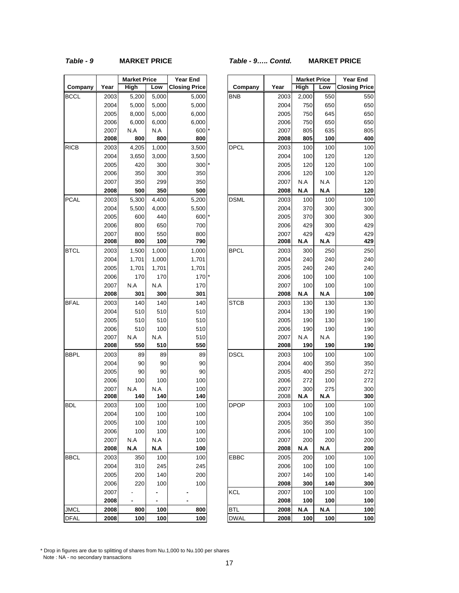#### *Table - 9* **MARKET PRICE** *Table - 9….. Contd.* **MARKET PRICE**

|             |      | <b>Market Price</b> |       | Year End             |
|-------------|------|---------------------|-------|----------------------|
| Company     | Year | High                | Low   | <b>Closing Price</b> |
| <b>BCCL</b> | 2003 | 5,200               | 5,000 | 5,000                |
|             | 2004 | 5,000               | 5,000 | 5,000                |
|             | 2005 | 8,000               | 5,000 | 6,000                |
|             | 2006 | 6,000               | 6,000 | 6,000                |
|             | 2007 | N.A                 | N.A   | 600                  |
|             | 2008 | 800                 | 800   | 800                  |
| RICB        | 2003 | 4,205               | 1,000 | 3,500                |
|             | 2004 | 3,650               | 3,000 | 3,500                |
|             | 2005 | 420                 | 300   | 300                  |
|             | 2006 | 350                 | 300   | 350                  |
|             | 2007 | 350                 | 299   | 350                  |
|             | 2008 | 500                 | 350   | 500                  |
| <b>PCAL</b> | 2003 | 5,300               | 4,400 | 5,200                |
|             | 2004 | 5,500               | 4,000 | 5,500                |
|             | 2005 | 600                 | 440   | 600                  |
|             | 2006 | 800                 | 650   | 700                  |
|             | 2007 | 800                 | 550   | 800                  |
|             | 2008 | 800                 | 100   | 790                  |
| <b>BTCL</b> | 2003 | 1,500               | 1,000 | 1,000                |
|             | 2004 | 1,701               | 1,000 | 1,701                |
|             | 2005 | 1,701               | 1,701 | 1,701                |
|             | 2006 | 170                 | 170   | 170                  |
|             | 2007 | N.A                 | N.A   | 170                  |
|             | 2008 | 301                 | 300   | 301                  |
| <b>BFAL</b> | 2003 | 140                 | 140   | 140                  |
|             | 2004 | 510                 | 510   | 510                  |
|             | 2005 | 510                 | 510   | 510                  |
|             | 2006 | 510                 | 100   | 510                  |
|             | 2007 | N.A                 | N.A   | 510                  |
|             | 2008 | 550                 | 510   | 550                  |
| BBPL        | 2003 | 89                  | 89    | 89                   |
|             | 2004 | 90                  | 90    | 90                   |
|             | 2005 | 90                  | 90    | 90                   |
|             | 2006 | 100                 | 100   | 100                  |
|             | 2007 | N.A                 | N.A   | 100                  |
|             | 2008 | 140                 | 140   | 140                  |
| <b>BDL</b>  | 2003 | 100                 | 100   | 100                  |
|             | 2004 | 100                 | 100   | 100                  |
|             | 2005 | 100                 | 100   | 100                  |
|             | 2006 | 100                 | 100   | 100                  |
|             | 2007 | N.A                 | N.A   | 100                  |
|             | 2008 | N.A                 | N.A   | 100                  |
| <b>BBCL</b> | 2003 | 350                 | 100   | 100                  |
|             | 2004 | 310                 | 245   | 245                  |
|             | 2005 | 200                 | 140   | 200                  |
|             | 2006 | 220                 | 100   | 100                  |
|             | 2007 |                     |       |                      |
|             | 2008 |                     |       |                      |
| JMCL        | 2008 | 800                 | 100   | 800                  |
| <b>DFAL</b> | 2008 | 100                 | 100   | 100                  |

|             |              | <b>Market Price</b> |            | <b>Year End</b>      |             |              | <b>Market Price</b> |            | <b>Year End</b>      |
|-------------|--------------|---------------------|------------|----------------------|-------------|--------------|---------------------|------------|----------------------|
| Company     | Year         | High                | Low        | <b>Closing Price</b> | Company     | Year         | High                | Low        | <b>Closing Price</b> |
| <b>BCCL</b> | 2003         | 5,200               | 5,000      | 5,000                | <b>BNB</b>  | 2003         | 2,000               | 550        | 550                  |
|             | 2004         | 5,000               | 5,000      | 5,000                |             | 2004         | 750                 | 650        | 650                  |
|             | 2005         | 8,000               | 5,000      | 6,000                |             | 2005         | 750                 | 645        | 650                  |
|             | 2006         | 6,000               | 6,000      | 6,000                |             | 2006         | 750                 | 650        | 650                  |
|             | 2007         | N.A                 | N.A        | 600                  |             | 2007         | 805                 | 635        | 805                  |
|             | 2008         | 800                 | 800        | 800                  |             | 2008         | 805                 | 100        | 400                  |
| RICB        | 2003         | 4,205               | 1,000      | 3,500                | <b>DPCL</b> | 2003         | 100                 | 100        | 100                  |
|             | 2004         | 3,650               | 3,000      | 3,500                |             | 2004         | 100                 | 120        | 120                  |
|             | 2005         | 420                 | 300        | 300                  |             | 2005         | 120                 | 120        | 100                  |
|             | 2006         | 350                 | 300        | 350                  |             | 2006         | 120                 | 100        | 120                  |
|             | 2007         | 350                 | 299        | 350                  |             | 2007         | N.A                 | N.A        | 120                  |
|             | 2008         | 500                 | 350        | 500                  |             | 2008         | N.A                 | N.A        | 120                  |
| PCAL        | 2003         | 5,300               | 4,400      | 5,200                | <b>DSML</b> | 2003         | 100                 | 100        | 100                  |
|             | 2004         | 5,500               | 4,000      | 5,500                |             | 2004         | 370                 | 300        | 300                  |
|             | 2005         | 600                 | 440        | 600                  |             | 2005         | 370                 | 300        | 300                  |
|             | 2006         | 800                 | 650        | 700                  |             | 2006         | 429                 | 300        | 429                  |
|             | 2007         | 800                 | 550        | 800                  |             | 2007         | 429                 | 429        | 429                  |
|             | 2008         | 800                 | 100        | 790                  |             | 2008         | N.A                 | N.A        | 429                  |
| BTCL        | 2003         | 1,500               | 1,000      | 1,000                | <b>BPCL</b> | 2003         | 300                 | 250        | 250                  |
|             | 2004         | 1,701               | 1,000      | 1,701                |             | 2004         | 240                 | 240        | 240                  |
|             | 2005         | 1,701               | 1,701      | 1,701                |             | 2005         | 240                 | 240        | 240                  |
|             | 2006         | 170                 | 170        | 170                  |             | 2006         | 100                 | 100        | 100                  |
|             | 2007         | N.A                 | N.A        | 170                  |             | 2007         | 100                 | 100        | 100                  |
|             | 2008         | 301                 | 300        | 301                  |             | 2008         | N.A                 | N.A        | 100                  |
| BFAL        | 2003         | 140                 | 140        | 140                  | <b>STCB</b> | 2003         | 130                 | 130        | 130                  |
|             | 2004         | 510                 | 510        | 510                  |             | 2004         | 130                 | 190        | 190                  |
|             | 2005         | 510                 | 510        | 510                  |             | 2005         | 190                 | 130        | 190                  |
|             | 2006         | 510                 | 100        | 510                  |             | 2006         | 190                 | 190        | 190                  |
|             | 2007         | N.A                 | N.A        | 510                  |             | 2007         | N.A                 | N.A        | 190                  |
|             | 2008         | 550                 | 510        | 550                  |             | 2008         | 190                 | 190        | 190                  |
| BBPL        | 2003         | 89                  | 89         | 89                   | <b>DSCL</b> | 2003         | 100                 | 100        | 100                  |
|             | 2004         | 90                  | 90         | 90                   |             | 2004         | 400                 | 350        | 350                  |
|             | 2005         | 90                  | 90         | 90                   |             | 2005         | 400                 | 250        | 272                  |
|             | 2006         | 100                 | 100        | 100                  |             | 2006         | 272                 | 100        | 272                  |
|             | 2007         | N.A                 | N.A        | 100                  |             | 2007         | 300                 | 275        | 300                  |
|             | 2008         | 140                 | 140        | 140                  |             | 2008         | N.A                 | N.A        | 300                  |
| BDL         | 2003<br>2004 | 100<br>100          | 100<br>100 | 100<br>100           | <b>DPOP</b> | 2003<br>2004 | 100<br>100          | 100<br>100 | 100<br>100           |
|             |              | 100                 |            | 100                  |             | 2005         |                     | 350        |                      |
|             | 2005<br>2006 | 100                 | 100<br>100 | 100                  |             | 2006         | 350                 | 100        | 350                  |
|             | 2007         | N.A                 | N.A        | 100                  |             | 2007         | 100<br>200          | 200        | 100<br>200           |
|             | 2008         | N.A                 | N.A        | 100                  |             | 2008         | N.A                 | N.A        | 200                  |
|             |              |                     |            |                      |             |              |                     |            |                      |
| BBCL        | 2003         | 350                 | 100        | 100                  | <b>EBBC</b> | 2005         | 200                 | 100        | 100                  |
|             | 2004         | 310                 | 245        | 245                  |             | 2006         | 100                 | 100        | 100                  |
|             | 2005         | 200                 | 140        | 200                  |             | 2007         | 140                 | 100        | 140                  |
|             | 2006         | 220                 | 100        | 100                  |             | 2008         | 300                 | 140        | 300                  |
|             | 2007         |                     |            |                      | <b>KCL</b>  | 2007         | 100                 | 100        | 100                  |
|             | 2008         |                     |            |                      |             | 2008         | 100                 | 100        | 100                  |
| JMCL        | 2008         | 800                 | 100        | 800                  | <b>BTL</b>  | 2008         | N.A                 | N.A        | 100                  |
| DFAL        | 2008         | 100                 | 100        | 100                  | DWAL        | 2008         | 100                 | 100        | 100                  |

\* Drop in figures are due to splitting of shares from Nu.1,000 to Nu.100 per shares Note : NA - no secondary transactions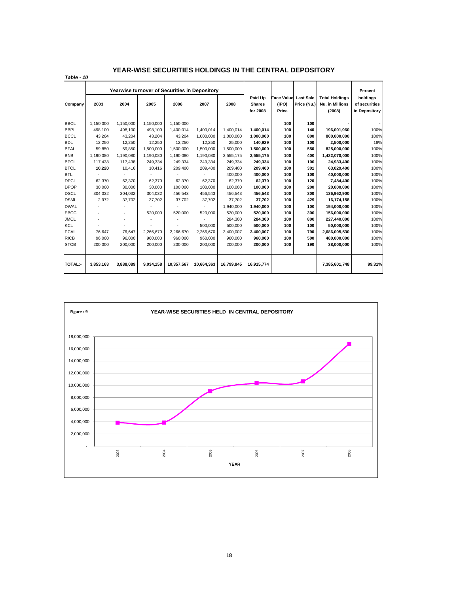*Table - 10*

|                |           | Yearwise turnover of Securities in Depository |           |            |            |            |                                      |                                     |                                 |                                                           | Percent                                    |
|----------------|-----------|-----------------------------------------------|-----------|------------|------------|------------|--------------------------------------|-------------------------------------|---------------------------------|-----------------------------------------------------------|--------------------------------------------|
| Company        | 2003      | 2004                                          | 2005      | 2006       | 2007       | 2008       | Paid Up<br><b>Shares</b><br>for 2008 | <b>Face Value</b><br>(IPO)<br>Price | <b>Last Sale</b><br>Price (Nu.) | <b>Total Holdings</b><br><b>Nu. in Millions</b><br>(2008) | holdings<br>of securities<br>in Depository |
| <b>BBCL</b>    | 1,150,000 | 1,150,000                                     | 1,150,000 | 1,150,000  |            |            |                                      | 100                                 | 100                             |                                                           |                                            |
| <b>BBPL</b>    | 498.100   | 498,100                                       | 498,100   | 1,400,014  | 1,400,014  | 1,400,014  | 1,400,014                            | 100                                 | 140                             | 196,001,960                                               | 100%                                       |
| <b>BCCL</b>    | 43,204    | 43,204                                        | 43,204    | 43,204     | 1,000,000  | 1,000,000  | 1,000,000                            | 100                                 | 800                             | 800,000,000                                               | 100%                                       |
| <b>BDL</b>     | 12.250    | 12.250                                        | 12,250    | 12,250     | 12,250     | 25,000     | 140,929                              | 100                                 | 100                             | 2,500,000                                                 | 18%                                        |
| <b>BFAL</b>    | 59.850    | 59.850                                        | 1,500,000 | 1,500,000  | 1,500,000  | 1,500,000  | 1,500,000                            | 100                                 | 550                             | 825,000,000                                               | 100%                                       |
| <b>BNB</b>     | 1.190.080 | 1.190.080                                     | 1,190,080 | 1,190,080  | 1,190,080  | 3,555,175  | 3,555,175                            | 100                                 | 400                             | 1,422,070,000                                             | 100%                                       |
| <b>BPCL</b>    | 117,438   | 117,438                                       | 249,334   | 249,334    | 249,334    | 249,334    | 249,334                              | 100                                 | 100                             | 24,933,400                                                | 100%                                       |
| <b>BTCL</b>    | 10,220    | 10,416                                        | 10,416    | 209,400    | 209,400    | 209,400    | 209,400                              | 100                                 | 301                             | 63,029,400                                                | 100%                                       |
| <b>BTL</b>     |           |                                               |           |            |            | 400,000    | 400,000                              | 100                                 | 100                             | 40,000,000                                                | 100%                                       |
| <b>DPCL</b>    | 62,370    | 62,370                                        | 62.370    | 62.370     | 62.370     | 62,370     | 62,370                               | 100                                 | 120                             | 7,484,400                                                 | 100%                                       |
| <b>DPOP</b>    | 30,000    | 30,000                                        | 30,000    | 100,000    | 100,000    | 100,000    | 100,000                              | 100                                 | 200                             | 20,000,000                                                | 100%                                       |
| <b>DSCL</b>    | 304.032   | 304.032                                       | 304,032   | 456,543    | 456,543    | 456,543    | 456,543                              | 100                                 | 300                             | 136,962,900                                               | 100%                                       |
| <b>DSML</b>    | 2,972     | 37,702                                        | 37,702    | 37,702     | 37,702     | 37.702     | 37,702                               | 100                                 | 429                             | 16,174,158                                                | 100%                                       |
| <b>DWAL</b>    |           |                                               |           |            |            | 1.940.000  | 1.940.000                            | 100                                 | 100                             | 194.000.000                                               | 100%                                       |
| <b>EBCC</b>    |           |                                               | 520,000   | 520,000    | 520,000    | 520.000    | 520.000                              | 100                                 | 300                             | 156,000,000                                               | 100%                                       |
| <b>JMCL</b>    |           |                                               |           |            |            | 284,300    | 284,300                              | 100                                 | 800                             | 227,440,000                                               | 100%                                       |
| KCL            |           |                                               |           |            | 500,000    | 500,000    | 500,000                              | 100                                 | 100                             | 50,000,000                                                | 100%                                       |
| <b>PCAL</b>    | 76,647    | 76,647                                        | 2,266,670 | 2,266,670  | 2,266,670  | 3,400,007  | 3,400,007                            | 100                                 | 790                             | 2,686,005,530                                             | 100%                                       |
| <b>RICB</b>    | 96.000    | 96,000                                        | 960,000   | 960.000    | 960.000    | 960.000    | 960,000                              | 100                                 | 500                             | 480,000,000                                               | 100%                                       |
| <b>STCB</b>    | 200.000   | 200.000                                       | 200.000   | 200.000    | 200.000    | 200.000    | 200.000                              | 100                                 | 190                             | 38.000.000                                                | 100%                                       |
| <b>TOTAL:-</b> | 3,853,163 | 3.888.089                                     | 9,034,158 | 10,357,567 | 10,664,363 | 16,799,845 | 16,915,774                           |                                     |                                 | 7,385,601,748                                             | 99.31%                                     |

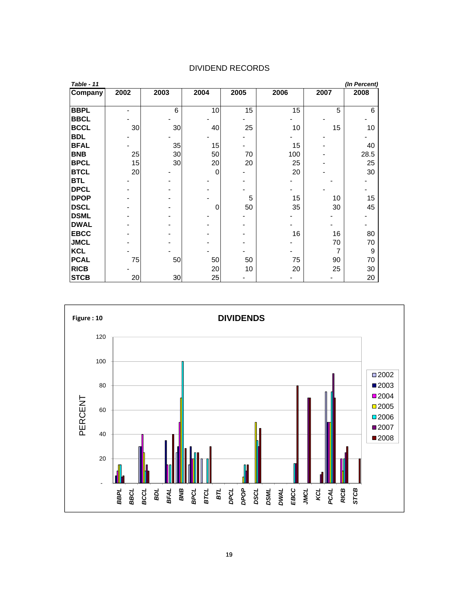| Table - 11  |      |      |      |      |      |      | (In Percent) |
|-------------|------|------|------|------|------|------|--------------|
| Company     | 2002 | 2003 | 2004 | 2005 | 2006 | 2007 | 2008         |
|             |      |      |      |      |      |      |              |
| <b>BBPL</b> |      | 6    | 10   | 15   | 15   | 5    | 6            |
| <b>BBCL</b> |      |      |      |      |      |      |              |
| <b>BCCL</b> | 30   | 30   | 40   | 25   | 10   | 15   | 10           |
| <b>BDL</b>  |      |      |      |      |      |      |              |
| <b>BFAL</b> |      | 35   | 15   |      | 15   |      | 40           |
| <b>BNB</b>  | 25   | 30   | 50   | 70   | 100  |      | 28.5         |
| <b>BPCL</b> | 15   | 30   | 20   | 20   | 25   |      | 25           |
| <b>BTCL</b> | 20   |      | 0    |      | 20   |      | 30           |
| <b>BTL</b>  |      |      |      |      |      |      |              |
| <b>DPCL</b> |      |      |      |      |      |      |              |
| <b>DPOP</b> |      |      |      | 5    | 15   | 10   | 15           |
| <b>DSCL</b> |      |      | 0    | 50   | 35   | 30   | 45           |
| <b>DSML</b> |      |      |      |      |      |      |              |
| <b>DWAL</b> |      |      |      |      |      |      |              |
| <b>EBCC</b> |      |      |      |      | 16   | 16   | 80           |
| <b>JMCL</b> |      |      |      |      |      | 70   | 70           |
| <b>KCL</b>  |      |      |      |      |      | 7    | 9            |
| <b>PCAL</b> | 75   | 50   | 50   | 50   | 75   | 90   | 70           |
| <b>RICB</b> |      |      | 20   | 10   | 20   | 25   | 30           |
| <b>STCB</b> | 20   | 30   | 25   |      |      |      | 20           |

#### DIVIDEND RECORDS

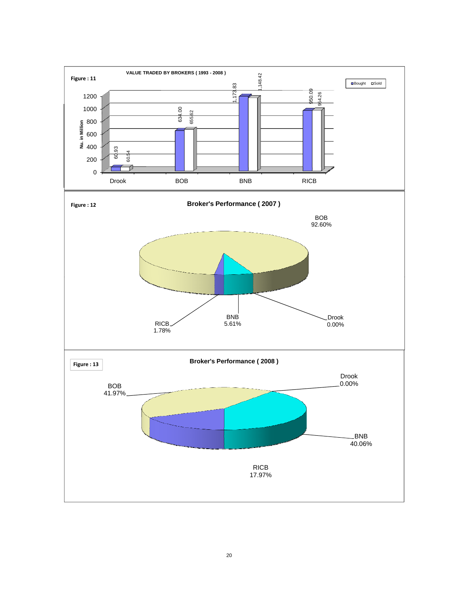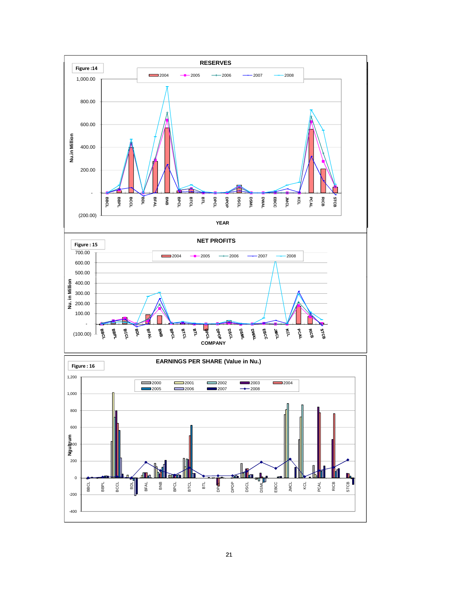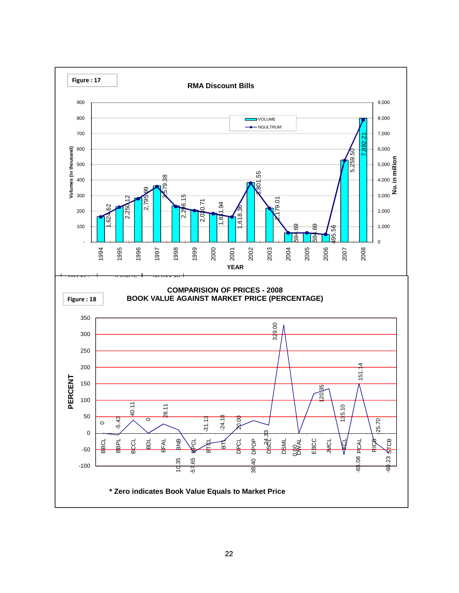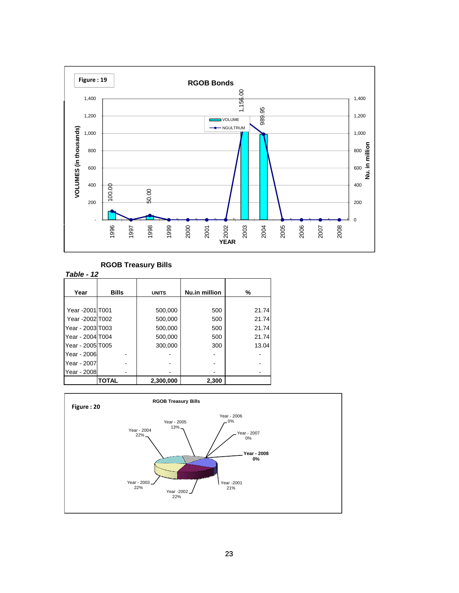

#### **RGOB Treasury Bills**

| Table - 12       |              |              |               |       |
|------------------|--------------|--------------|---------------|-------|
|                  |              |              |               |       |
| Year             | <b>Bills</b> | <b>UNITS</b> | Nu.in million | %     |
|                  |              |              |               |       |
| Year -2001 T001  |              | 500,000      | 500           | 21.74 |
| Year -2002 T002  |              | 500,000      | 500           | 21.74 |
| Year - 2003 T003 |              | 500,000      | 500           | 21.74 |
| Year - 2004 T004 |              | 500,000      | 500           | 21.74 |
| Year - 2005 T005 |              | 300,000      | 300           | 13.04 |
| Year - 2006      |              |              |               |       |
| Year - 2007      |              |              |               |       |
| Year - 2008      |              |              |               |       |
|                  | <b>TOTAL</b> | 2,300,000    | 2,300         |       |

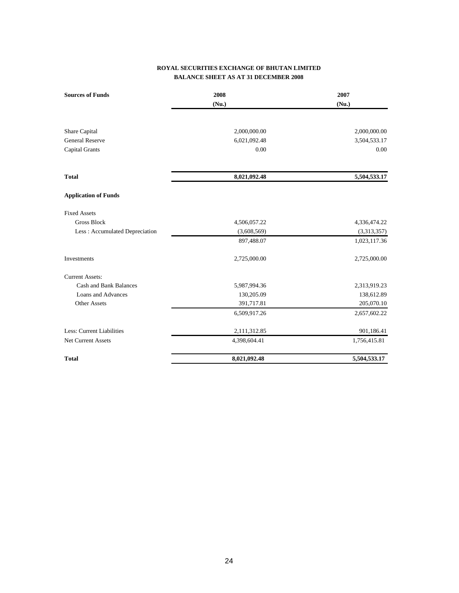#### **ROYAL SECURITIES EXCHANGE OF BHUTAN LIMITED BALANCE SHEET AS AT 31 DECEMBER 2008**

| <b>Sources of Funds</b>        | 2008         | 2007         |
|--------------------------------|--------------|--------------|
|                                | (Nu.)        | (Nu.)        |
| Share Capital                  | 2,000,000.00 | 2,000,000.00 |
| <b>General Reserve</b>         | 6,021,092.48 | 3,504,533.17 |
| <b>Capital Grants</b>          | 0.00         | 0.00         |
| <b>Total</b>                   | 8,021,092.48 | 5,504,533.17 |
| <b>Application of Funds</b>    |              |              |
| <b>Fixed Assets</b>            |              |              |
| <b>Gross Block</b>             | 4,506,057.22 | 4,336,474.22 |
| Less: Accumulated Depreciation | (3,608,569)  | (3,313,357)  |
|                                | 897,488.07   | 1,023,117.36 |
| Investments                    | 2,725,000.00 | 2,725,000.00 |
| <b>Current Assets:</b>         |              |              |
| <b>Cash and Bank Balances</b>  | 5,987,994.36 | 2,313,919.23 |
| Loans and Advances             | 130,205.09   | 138,612.89   |
| Other Assets                   | 391,717.81   | 205,070.10   |
|                                | 6,509,917.26 | 2,657,602.22 |
| Less: Current Liabilities      | 2,111,312.85 | 901,186.41   |
| <b>Net Current Assets</b>      | 4,398,604.41 | 1,756,415.81 |
| <b>Total</b>                   | 8,021,092.48 | 5,504,533.17 |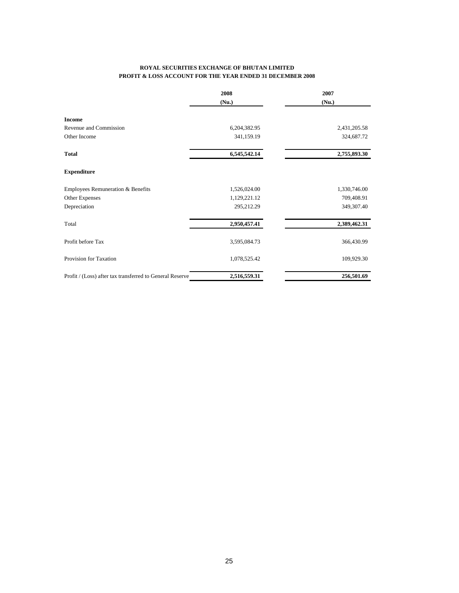#### **ROYAL SECURITIES EXCHANGE OF BHUTAN LIMITED PROFIT & LOSS ACCOUNT FOR THE YEAR ENDED 31 DECEMBER 2008**

|                                                          | 2008         | 2007         |
|----------------------------------------------------------|--------------|--------------|
|                                                          | (Nu.)        | (Nu.)        |
| <b>Income</b>                                            |              |              |
| Revenue and Commission                                   | 6,204,382.95 | 2,431,205.58 |
| Other Income                                             | 341,159.19   | 324,687.72   |
| <b>Total</b>                                             | 6,545,542.14 | 2,755,893.30 |
| <b>Expenditure</b>                                       |              |              |
| Employees Remuneration & Benefits                        | 1,526,024.00 | 1,330,746.00 |
| Other Expenses                                           | 1,129,221.12 | 709,408.91   |
| Depreciation                                             | 295,212.29   | 349,307.40   |
| Total                                                    | 2,950,457.41 | 2,389,462.31 |
| Profit before Tax                                        | 3,595,084.73 | 366,430.99   |
| Provision for Taxation                                   | 1,078,525.42 | 109,929.30   |
| Profit / (Loss) after tax transferred to General Reserve | 2,516,559.31 | 256,501.69   |